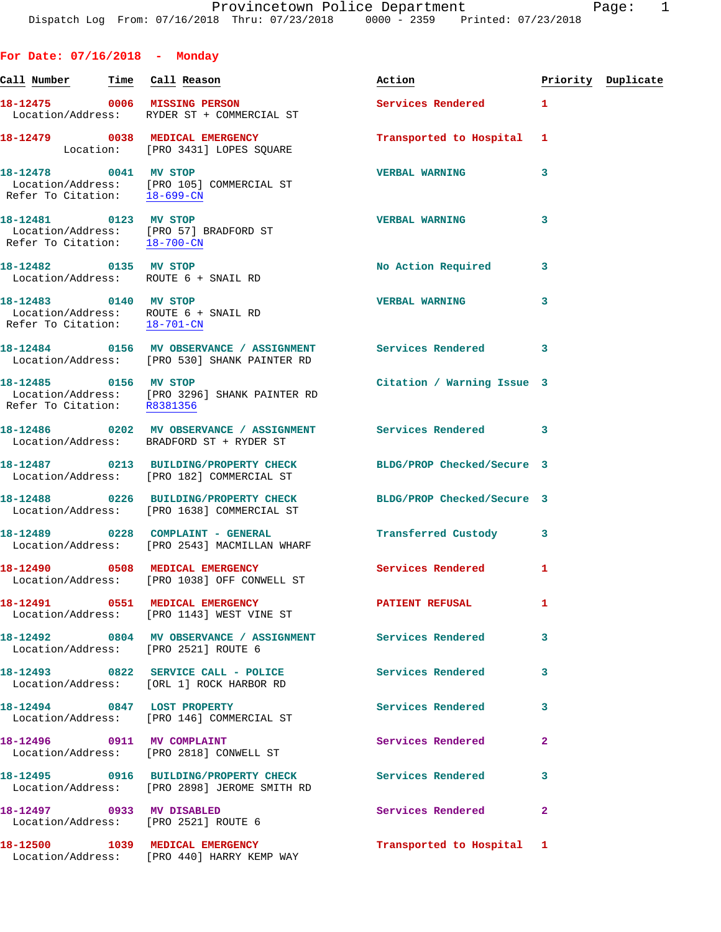**For Date: 07/16/2018 - Monday** Call Number **Time** Call Reason **Reason Burner** Action **Priority Duplicate 18-12475 0006 MISSING PERSON Services Rendered 1**  Location/Address: RYDER ST + COMMERCIAL ST **18-12479 0038 MEDICAL EMERGENCY Transported to Hospital 1**  Location: [PRO 3431] LOPES SQUARE **18-12478 0041 MV STOP VERBAL WARNING 3**  Location/Address: [PRO 105] COMMERCIAL ST Refer To Citation: 18-699-CN **18-12481 0123 MV STOP VERBAL WARNING 3**  Location/Address: [PRO 57] BRADFORD ST Refer To Citation: 18-700-CN **18-12482 0135 MV STOP No Action Required 3**  Location/Address: ROUTE 6 + SNAIL RD **18-12483 0140 MV STOP VERBAL WARNING 3**  Location/Address: ROUTE 6 + SNAIL RD Refer To Citation: 18-701-CN **18-12484 0156 MV OBSERVANCE / ASSIGNMENT Services Rendered 3**  Location/Address: [PRO 530] SHANK PAINTER RD **18-12485 0156 MV STOP Citation / Warning Issue 3**  Location/Address: [PRO 3296] SHANK PAINTER RD Refer To Citation: R8381356 **18-12486 0202 MV OBSERVANCE / ASSIGNMENT Services Rendered 3**  Location/Address: BRADFORD ST + RYDER ST **18-12487 0213 BUILDING/PROPERTY CHECK BLDG/PROP Checked/Secure 3**  Location/Address: [PRO 182] COMMERCIAL ST **18-12488 0226 BUILDING/PROPERTY CHECK BLDG/PROP Checked/Secure 3**  Location/Address: [PRO 1638] COMMERCIAL ST **18-12489 0228 COMPLAINT - GENERAL Transferred Custody 3**  Location/Address: [PRO 2543] MACMILLAN WHARF **18-12490 0508 MEDICAL EMERGENCY Services Rendered 1**  Location/Address: [PRO 1038] OFF CONWELL ST **18-12491 0551 MEDICAL EMERGENCY PATIENT REFUSAL 1**  Location/Address: [PRO 1143] WEST VINE ST **18-12492 0804 MV OBSERVANCE / ASSIGNMENT Services Rendered 3**  Location/Address: [PRO 2521] ROUTE 6 18-12493 0822 SERVICE CALL - POLICE 3 Services Rendered 3 Location/Address: [ORL 1] ROCK HARBOR RD 18-12494 0847 LOST PROPERTY **18-12494** Services Rendered 3 Location/Address: [PRO 146] COMMERCIAL ST **18-12496 0911 MV COMPLAINT Services Rendered 2**  Location/Address: [PRO 2818] CONWELL ST **18-12495 0916 BUILDING/PROPERTY CHECK Services Rendered 3**  Location/Address: [PRO 2898] JEROME SMITH RD

**18-12497 0933 MV DISABLED Services Rendered 2**  Location/Address: [PRO 2521] ROUTE 6

Location/Address: [PRO 440] HARRY KEMP WAY

**18-12500 1039 MEDICAL EMERGENCY Transported to Hospital 1**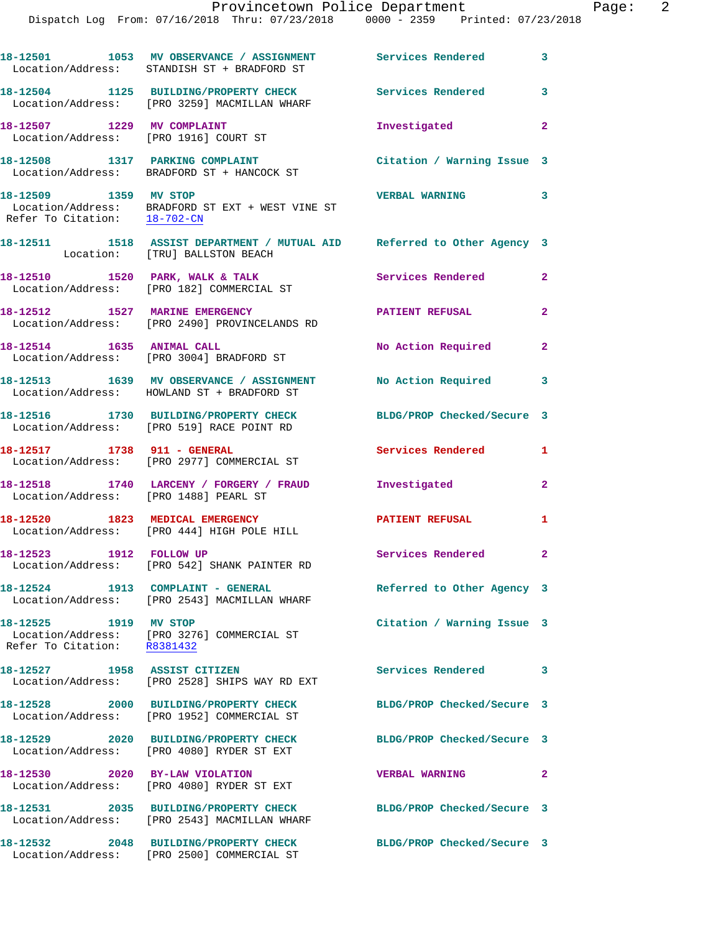|                                                      | 18-12501 1053 MV OBSERVANCE / ASSIGNMENT<br>Location/Address: STANDISH ST + BRADFORD ST                   | <b>Services Rendered</b>   | $\overline{\phantom{a}}$ 3 |
|------------------------------------------------------|-----------------------------------------------------------------------------------------------------------|----------------------------|----------------------------|
|                                                      | 18-12504 1125 BUILDING/PROPERTY CHECK<br>Location/Address: [PRO 3259] MACMILLAN WHARF                     | <b>Services Rendered</b>   | $\overline{\phantom{a}}$   |
| 18-12507 1229 MV COMPLAINT                           | Location/Address: [PRO 1916] COURT ST                                                                     | Investigated               | $\overline{2}$             |
|                                                      | 18-12508 1317 PARKING COMPLAINT<br>Location/Address: BRADFORD ST + HANCOCK ST                             | Citation / Warning Issue 3 |                            |
| 18-12509 1359 MV STOP                                | Location/Address: BRADFORD ST EXT + WEST VINE ST<br>Refer To Citation: $\frac{18-702-CN}{18-702-CN}$      | VERBAL WARNING 3           |                            |
|                                                      | 18-12511 1518 ASSIST DEPARTMENT / MUTUAL AID Referred to Other Agency 3<br>Location: [TRU] BALLSTON BEACH |                            |                            |
|                                                      | 18-12510 1520 PARK, WALK & TALK<br>Location/Address: [PRO 182] COMMERCIAL ST                              | Services Rendered          | $\mathbf{2}$               |
| 18-12512 1527 MARINE EMERGENCY                       | Location/Address: [PRO 2490] PROVINCELANDS RD                                                             | <b>PATIENT REFUSAL</b>     | $\overline{2}$             |
| 18-12514 1635 ANIMAL CALL                            | Location/Address: [PRO 3004] BRADFORD ST                                                                  | No Action Required         | $\overline{2}$             |
|                                                      | 18-12513 1639 MV OBSERVANCE / ASSIGNMENT<br>Location/Address: HOWLAND ST + BRADFORD ST                    | No Action Required         | 3                          |
|                                                      | 18-12516 1730 BUILDING/PROPERTY CHECK<br>Location/Address: [PRO 519] RACE POINT RD                        | BLDG/PROP Checked/Secure 3 |                            |
|                                                      | 18-12517 1738 911 - GENERAL<br>Location/Address: [PRO 2977] COMMERCIAL ST                                 | Services Rendered          | $\mathbf{1}$               |
| Location/Address: [PRO 1488] PEARL ST                | 18-12518 1740 LARCENY / FORGERY / FRAUD Investigated                                                      |                            | $\mathbf{2}$               |
|                                                      | 18-12520 1823 MEDICAL EMERGENCY<br>Location/Address: [PRO 444] HIGH POLE HILL                             | <b>PATIENT REFUSAL</b>     | $\mathbf{1}$               |
| 18-12523 1912 FOLLOW UP                              | Location/Address: [PRO 542] SHANK PAINTER RD                                                              | Services Rendered 2        |                            |
|                                                      | 18-12524 1913 COMPLAINT - GENERAL<br>Location/Address: [PRO 2543] MACMILLAN WHARF                         | Referred to Other Agency 3 |                            |
| 18-12525 1919 MV STOP<br>Refer To Citation: R8381432 | Location/Address: [PRO 3276] COMMERCIAL ST                                                                | Citation / Warning Issue 3 |                            |
| 18-12527 1958 ASSIST CITIZEN                         | Location/Address: [PRO 2528] SHIPS WAY RD EXT                                                             | <b>Services Rendered</b>   | 3                          |
|                                                      | 18-12528 2000 BUILDING/PROPERTY CHECK<br>Location/Address: [PRO 1952] COMMERCIAL ST                       | BLDG/PROP Checked/Secure 3 |                            |
|                                                      | 18-12529 2020 BUILDING/PROPERTY CHECK<br>Location/Address: [PRO 4080] RYDER ST EXT                        | BLDG/PROP Checked/Secure 3 |                            |
| 18-12530                                             | 2020 BY-LAW VIOLATION<br>Location/Address: [PRO 4080] RYDER ST EXT                                        | <b>VERBAL WARNING</b>      | $\mathbf{2}$               |
|                                                      | 18-12531 2035 BUILDING/PROPERTY CHECK<br>Location/Address: [PRO 2543] MACMILLAN WHARF                     | BLDG/PROP Checked/Secure 3 |                            |
| 18-12532                                             | 2048 BUILDING/PROPERTY CHECK<br>Location/Address: [PRO 2500] COMMERCIAL ST                                | BLDG/PROP Checked/Secure 3 |                            |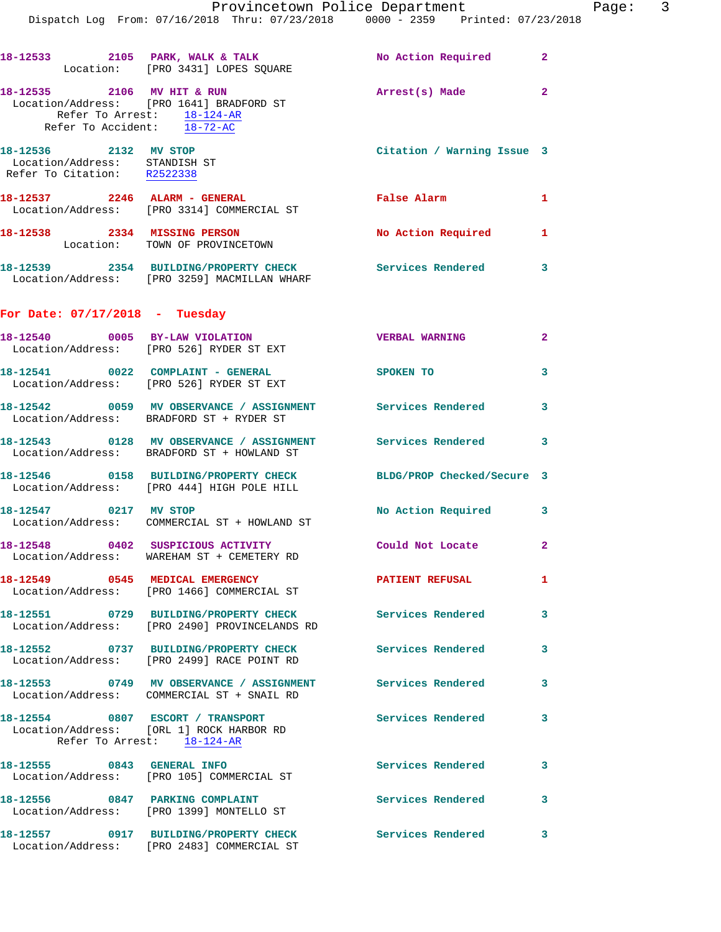|                                                                                       | 18-12533 2105 PARK, WALK & TALK NO Action Required<br>Location: [PRO 3431] LOPES SQUARE                        |                            | $\mathbf{2}$   |
|---------------------------------------------------------------------------------------|----------------------------------------------------------------------------------------------------------------|----------------------------|----------------|
| Refer To Accident: 18-72-AC                                                           | 18-12535 2106 MV HIT & RUN<br>Location/Address: [PRO 1641] BRADFORD ST<br>Refer To Arrest: 18-124-AR           | Arrest(s) Made             | $\overline{2}$ |
| 18-12536 2132 MV STOP<br>Location/Address: STANDISH ST<br>Refer To Citation: R2522338 |                                                                                                                | Citation / Warning Issue 3 |                |
|                                                                                       | 18-12537 2246 ALARM - GENERAL<br>Location/Address: [PRO 3314] COMMERCIAL ST                                    | False Alarm                | 1              |
|                                                                                       | 18-12538 2334 MISSING PERSON<br>Location: TOWN OF PROVINCETOWN                                                 | No Action Required 1       |                |
|                                                                                       | 18-12539 2354 BUILDING/PROPERTY CHECK Services Rendered<br>Location/Address: [PRO 3259] MACMILLAN WHARF        |                            | 3              |
| For Date: $07/17/2018$ - Tuesday                                                      |                                                                                                                |                            |                |
|                                                                                       | 18-12540 0005 BY-LAW VIOLATION<br>Location/Address: [PRO 526] RYDER ST EXT                                     | <b>VERBAL WARNING</b>      | $\overline{2}$ |
|                                                                                       | 18-12541 0022 COMPLAINT - GENERAL<br>Location/Address: [PRO 526] RYDER ST EXT                                  | SPOKEN TO                  | 3              |
|                                                                                       | 18-12542 0059 MV OBSERVANCE / ASSIGNMENT Services Rendered<br>Location/Address: BRADFORD ST + RYDER ST         |                            | 3              |
|                                                                                       | 18-12543 0128 MV OBSERVANCE / ASSIGNMENT Services Rendered<br>Location/Address: BRADFORD ST + HOWLAND ST       |                            | 3              |
|                                                                                       | 18-12546 0158 BUILDING/PROPERTY CHECK BLDG/PROP Checked/Secure 3<br>Location/Address: [PRO 444] HIGH POLE HILL |                            |                |
| 18-12547 0217 MV STOP                                                                 | Location/Address: COMMERCIAL ST + HOWLAND ST                                                                   | No Action Required 3       |                |
|                                                                                       | 18-12548 0402 SUSPICIOUS ACTIVITY Could Not Locate<br>Location/Address: WAREHAM ST + CEMETERY RD               |                            | $\overline{2}$ |
|                                                                                       | 18-12549 0545 MEDICAL EMERGENCY<br>Location/Address: [PRO 1466] COMMERCIAL ST                                  | <b>PATIENT REFUSAL</b>     | 1              |
|                                                                                       | 18-12551 0729 BUILDING/PROPERTY CHECK Services Rendered<br>Location/Address: [PRO 2490] PROVINCELANDS RD       |                            | 3              |
|                                                                                       | 18-12552 0737 BUILDING/PROPERTY CHECK<br>Location/Address: [PRO 2499] RACE POINT RD                            | Services Rendered          | 3              |
|                                                                                       | 18-12553 0749 MV OBSERVANCE / ASSIGNMENT<br>Location/Address: COMMERCIAL ST + SNAIL RD                         | Services Rendered          | 3              |
|                                                                                       | 18-12554 0807 ESCORT / TRANSPORT<br>Location/Address: [ORL 1] ROCK HARBOR RD<br>Refer To Arrest: 18-124-AR     | Services Rendered          | 3              |
|                                                                                       | 18-12555 0843 GENERAL INFO<br>Location/Address: [PRO 105] COMMERCIAL ST                                        | <b>Services Rendered</b>   | 3              |
|                                                                                       | 18-12556 0847 PARKING COMPLAINT<br>Location/Address: [PRO 1399] MONTELLO ST                                    | Services Rendered          | 3              |
|                                                                                       | 18-12557 0917 BUILDING/PROPERTY CHECK<br>Location/Address: [PRO 2483] COMMERCIAL ST                            | Services Rendered          | 3              |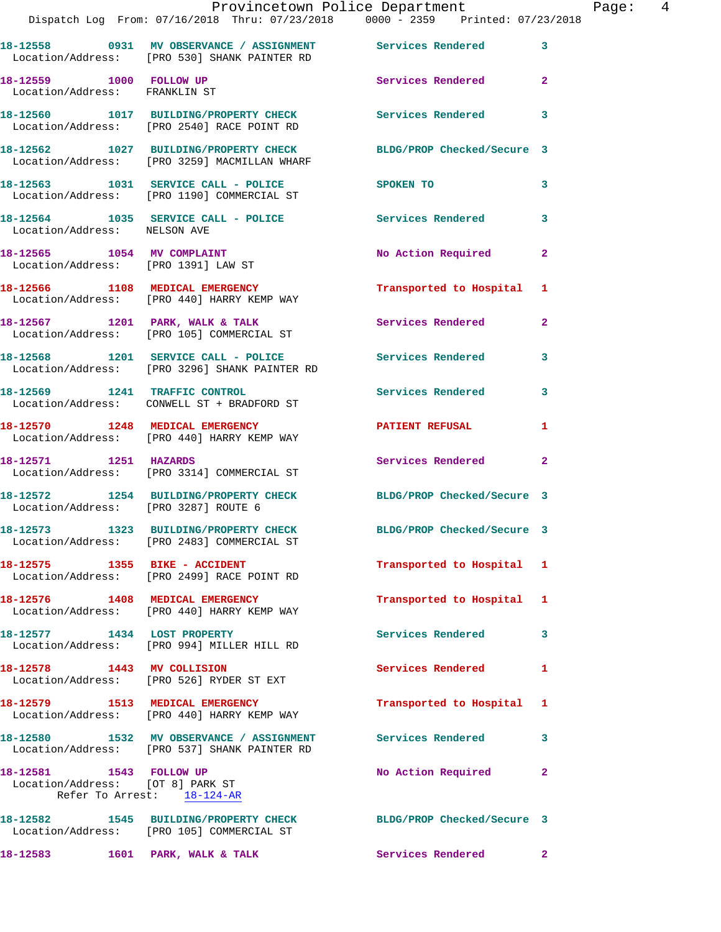|                                                                                           | Provincetown Police Department<br>Dispatch Log From: 07/16/2018 Thru: 07/23/2018   0000 - 2359   Printed: 07/23/2018 |                            | Page: 4        |
|-------------------------------------------------------------------------------------------|----------------------------------------------------------------------------------------------------------------------|----------------------------|----------------|
|                                                                                           | 18-12558 0931 MV OBSERVANCE / ASSIGNMENT Services Rendered 3                                                         |                            |                |
|                                                                                           | Location/Address: [PRO 530] SHANK PAINTER RD                                                                         |                            |                |
| 18-12559 1000 FOLLOW UP<br>Location/Address: FRANKLIN ST                                  |                                                                                                                      | Services Rendered          | $\overline{2}$ |
|                                                                                           | 18-12560 1017 BUILDING/PROPERTY CHECK Services Rendered<br>Location/Address: [PRO 2540] RACE POINT RD                |                            | 3              |
|                                                                                           | 18-12562 1027 BUILDING/PROPERTY CHECK BLDG/PROP Checked/Secure 3<br>Location/Address: [PRO 3259] MACMILLAN WHARF     |                            |                |
|                                                                                           | 18-12563 1031 SERVICE CALL - POLICE<br>Location/Address: [PRO 1190] COMMERCIAL ST                                    | SPOKEN TO                  | 3              |
| Location/Address: NELSON AVE                                                              | 18-12564 1035 SERVICE CALL - POLICE Services Rendered                                                                |                            | 3              |
| 18-12565 1054 MV COMPLAINT                                                                | Location/Address: [PRO 1391] LAW ST                                                                                  | No Action Required 2       |                |
|                                                                                           | 18-12566 1108 MEDICAL EMERGENCY<br>Location/Address: [PRO 440] HARRY KEMP WAY                                        | Transported to Hospital 1  |                |
|                                                                                           | 18-12567 1201 PARK, WALK & TALK Services Rendered 2<br>Location/Address: [PRO 105] COMMERCIAL ST                     |                            |                |
|                                                                                           | 18-12568 1201 SERVICE CALL - POLICE 3ervices Rendered<br>Location/Address: [PRO 3296] SHANK PAINTER RD               |                            | 3              |
|                                                                                           | 18-12569 1241 TRAFFIC CONTROL<br>Location/Address: CONWELL ST + BRADFORD ST                                          | Services Rendered 3        |                |
|                                                                                           | 18-12570 1248 MEDICAL EMERGENCY <b>EXERGENERY PATIENT REFUSAL</b><br>Location/Address: [PRO 440] HARRY KEMP WAY      |                            | $\mathbf{1}$   |
| 18-12571 1251 HAZARDS                                                                     | Location/Address: [PRO 3314] COMMERCIAL ST                                                                           | Services Rendered          | $\mathbf{2}$   |
|                                                                                           | 18-12572 1254 BUILDING/PROPERTY CHECK BLDG/PROP Checked/Secure 3<br>Location/Address: [PRO 3287] ROUTE 6             |                            |                |
|                                                                                           | 18-12573 1323 BUILDING/PROPERTY CHECK<br>Location/Address: [PRO 2483] COMMERCIAL ST                                  | BLDG/PROP Checked/Secure 3 |                |
|                                                                                           | Location/Address: [PRO 2499] RACE POINT RD                                                                           | Transported to Hospital 1  |                |
|                                                                                           | 18-12576 1408 MEDICAL EMERGENCY<br>Location/Address: [PRO 440] HARRY KEMP WAY                                        | Transported to Hospital 1  |                |
|                                                                                           | 18-12577 1434 LOST PROPERTY<br>Location/Address: [PRO 994] MILLER HILL RD                                            | Services Rendered          | 3              |
|                                                                                           | 18-12578 1443 MV COLLISION<br>Location/Address: [PRO 526] RYDER ST EXT                                               | Services Rendered 1        |                |
|                                                                                           | 18-12579 1513 MEDICAL EMERGENCY<br>Location/Address: [PRO 440] HARRY KEMP WAY                                        | Transported to Hospital 1  |                |
|                                                                                           | 18-12580 1532 MV OBSERVANCE / ASSIGNMENT Services Rendered<br>Location/Address: [PRO 537] SHANK PAINTER RD           |                            | 3              |
| 18-12581 1543 FOLLOW UP<br>Location/Address: [OT 8] PARK ST<br>Refer To Arrest: 18-124-AR |                                                                                                                      | No Action Required         | 2              |
|                                                                                           | 18-12582 1545 BUILDING/PROPERTY CHECK BLDG/PROP Checked/Secure 3<br>Location/Address: [PRO 105] COMMERCIAL ST        |                            |                |
|                                                                                           | 18-12583 1601 PARK, WALK & TALK                                                                                      | Services Rendered 2        |                |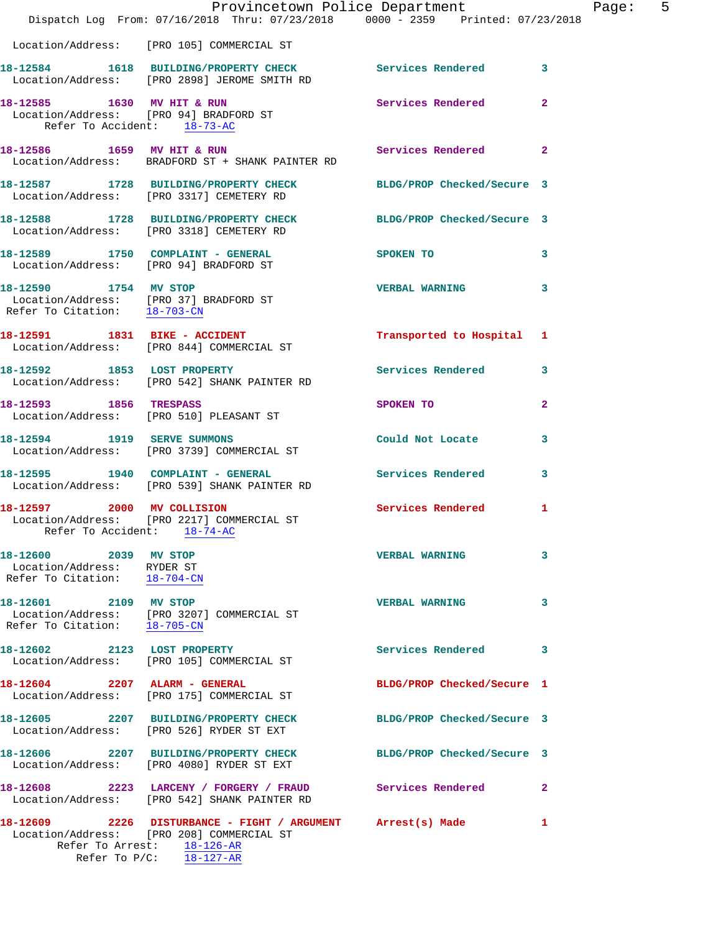|                                                                                     | Provincetown Police Department<br>Dispatch Log From: 07/16/2018 Thru: 07/23/2018 0000 - 2359 Printed: 07/23/2018                                                     |                            |                |
|-------------------------------------------------------------------------------------|----------------------------------------------------------------------------------------------------------------------------------------------------------------------|----------------------------|----------------|
|                                                                                     |                                                                                                                                                                      |                            |                |
|                                                                                     | Location/Address: [PRO 105] COMMERCIAL ST                                                                                                                            |                            |                |
|                                                                                     | 18-12584 1618 BUILDING/PROPERTY CHECK Services Rendered<br>Location/Address: [PRO 2898] JEROME SMITH RD                                                              |                            | 3              |
|                                                                                     | 18-12585 1630 MV HIT & RUN<br>Location/Address: [PRO 94] BRADFORD ST<br>Refer To Accident: 18-73-AC                                                                  | <b>Services Rendered</b>   | $\mathbf{2}$   |
|                                                                                     | 18-12586 1659 MV HIT & RUN<br>Location/Address: BRADFORD ST + SHANK PAINTER RD                                                                                       | <b>Services Rendered</b>   | $\overline{2}$ |
|                                                                                     | 18-12587 1728 BUILDING/PROPERTY CHECK<br>Location/Address: [PRO 3317] CEMETERY RD                                                                                    | BLDG/PROP Checked/Secure 3 |                |
|                                                                                     | 18-12588 1728 BUILDING/PROPERTY CHECK<br>Location/Address: [PRO 3318] CEMETERY RD                                                                                    | BLDG/PROP Checked/Secure 3 |                |
|                                                                                     | 18-12589 1750 COMPLAINT - GENERAL<br>Location/Address: [PRO 94] BRADFORD ST                                                                                          | SPOKEN TO                  | 3              |
|                                                                                     | 18-12590 1754 MV STOP<br>Location/Address: [PRO 37] BRADFORD ST<br>Refer To Citation: $\frac{18-703-CN}{\ }$                                                         | <b>VERBAL WARNING</b>      | 3              |
|                                                                                     | 18-12591 1831 BIKE - ACCIDENT<br>Location/Address: [PRO 844] COMMERCIAL ST                                                                                           | Transported to Hospital    | 1              |
|                                                                                     | 18-12592 1853 LOST PROPERTY<br>Location/Address: [PRO 542] SHANK PAINTER RD                                                                                          | <b>Services Rendered</b>   | 3              |
| 18-12593 1856 TRESPASS                                                              | Location/Address: [PRO 510] PLEASANT ST                                                                                                                              | SPOKEN TO                  | 2              |
|                                                                                     | 18-12594 1919 SERVE SUMMONS<br>Location/Address: [PRO 3739] COMMERCIAL ST                                                                                            | Could Not Locate           | 3              |
|                                                                                     | 18-12595 1940 COMPLAINT - GENERAL<br>Location/Address: [PRO 539] SHANK PAINTER RD                                                                                    | <b>Services Rendered</b>   | 3              |
| Refer To Accident: 18-74-AC                                                         | 18-12597 2000 MV COLLISION<br>Location/Address: [PRO 2217] COMMERCIAL ST                                                                                             | <b>Services Rendered</b>   | 1              |
| 18-12600 2039 MV STOP<br>Location/Address: RYDER ST<br>Refer To Citation: 18-704-CN |                                                                                                                                                                      | <b>VERBAL WARNING</b>      | 3              |
| 18-12601 2109 MV STOP<br>Refer To Citation: 18-705-CN                               | Location/Address: [PRO 3207] COMMERCIAL ST                                                                                                                           | <b>VERBAL WARNING</b>      | 3              |
|                                                                                     | 18-12602 2123 LOST PROPERTY<br>Location/Address: [PRO 105] COMMERCIAL ST                                                                                             | <b>Services Rendered</b>   | 3              |
| 18-12604 2207 ALARM - GENERAL                                                       | Location/Address: [PRO 175] COMMERCIAL ST                                                                                                                            | BLDG/PROP Checked/Secure 1 |                |
|                                                                                     | 18-12605 2207 BUILDING/PROPERTY CHECK<br>Location/Address: [PRO 526] RYDER ST EXT                                                                                    | BLDG/PROP Checked/Secure 3 |                |
|                                                                                     | 18-12606 2207 BUILDING/PROPERTY CHECK BLDG/PROP Checked/Secure 3<br>Location/Address: [PRO 4080] RYDER ST EXT                                                        |                            |                |
|                                                                                     | 18-12608 2223 LARCENY / FORGERY / FRAUD Services Rendered<br>Location/Address: [PRO 542] SHANK PAINTER RD                                                            |                            | 2              |
|                                                                                     | 18-12609 2226 DISTURBANCE - FIGHT / ARGUMENT Arrest(s) Made<br>Location/Address: [PRO 208] COMMERCIAL ST<br>Refer To Arrest: 18-126-AR<br>Refer To $P/C$ : 18-127-AR |                            | 1              |
|                                                                                     |                                                                                                                                                                      |                            |                |

Page: 5<br>018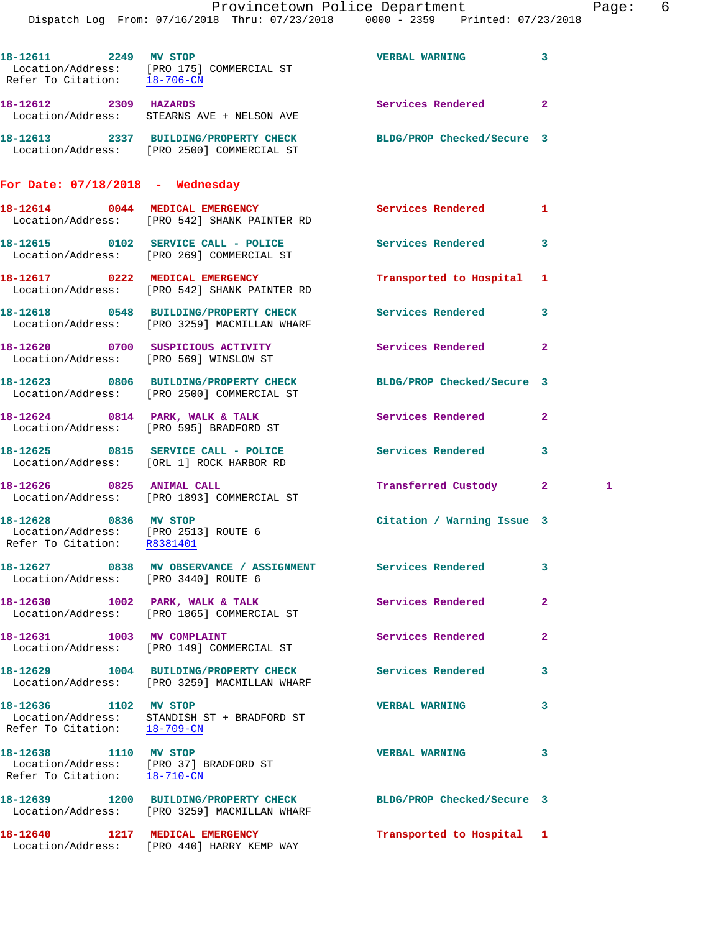|                                                                                              | Dispatch Log From: 07/16/2018 Thru: 07/23/2018 0000 - 2359 Printed: 07/23/2018                                 | Provincetown Police Department |              | Page: 6 |  |
|----------------------------------------------------------------------------------------------|----------------------------------------------------------------------------------------------------------------|--------------------------------|--------------|---------|--|
| 18-12611 2249 MV STOP<br>Refer To Citation: 18-706-CN                                        | Location/Address: [PRO 175] COMMERCIAL ST                                                                      | VERBAL WARNING 3               |              |         |  |
|                                                                                              | 18-12612 2309 HAZARDS<br>Location/Address: STEARNS AVE + NELSON AVE                                            | <b>Services Rendered</b> 2     |              |         |  |
|                                                                                              | 18-12613 2337 BUILDING/PROPERTY CHECK BLDG/PROP Checked/Secure 3<br>Location/Address: [PRO 2500] COMMERCIAL ST |                                |              |         |  |
| For Date: $07/18/2018$ - Wednesday                                                           |                                                                                                                |                                |              |         |  |
|                                                                                              | 18-12614 0044 MEDICAL EMERGENCY<br>Location/Address: [PRO 542] SHANK PAINTER RD                                | Services Rendered 1            |              |         |  |
|                                                                                              | 18-12615 0102 SERVICE CALL - POLICE<br>Location/Address: [PRO 269] COMMERCIAL ST                               | <b>Services Rendered</b>       | 3            |         |  |
|                                                                                              | 18-12617 0222 MEDICAL EMERGENCY<br>Location/Address: [PRO 542] SHANK PAINTER RD                                | Transported to Hospital 1      |              |         |  |
|                                                                                              | 18-12618 0548 BUILDING/PROPERTY CHECK<br>Location/Address: [PRO 3259] MACMILLAN WHARF                          | Services Rendered 3            |              |         |  |
|                                                                                              | 18-12620 0700 SUSPICIOUS ACTIVITY<br>Location/Address: [PRO 569] WINSLOW ST                                    | Services Rendered              | $\mathbf{2}$ |         |  |
|                                                                                              | 18-12623 0806 BUILDING/PROPERTY CHECK BLDG/PROP Checked/Secure 3<br>Location/Address: [PRO 2500] COMMERCIAL ST |                                |              |         |  |
|                                                                                              | 18-12624 0814 PARK, WALK & TALK<br>Location/Address: [PRO 595] BRADFORD ST                                     | Services Rendered              | $\mathbf{2}$ |         |  |
|                                                                                              | 18-12625 0815 SERVICE CALL - POLICE 3 Services Rendered 3<br>Location/Address: [ORL 1] ROCK HARBOR RD          |                                |              |         |  |
| 18-12626 0825 ANIMAL CALL                                                                    | Location/Address: [PRO 1893] COMMERCIAL ST                                                                     | Transferred Custody 2          |              | 1       |  |
| 18-12628 0836 MV STOP<br>Location/Address: [PRO 2513] ROUTE 6<br>Refer To Citation: R8381401 |                                                                                                                | Citation / Warning Issue 3     |              |         |  |
| Location/Address: [PRO 3440] ROUTE 6                                                         | 18-12627 0838 MV OBSERVANCE / ASSIGNMENT Services Rendered                                                     |                                | 3            |         |  |
|                                                                                              | 18-12630 1002 PARK, WALK & TALK<br>Location/Address: [PRO 1865] COMMERCIAL ST                                  | Services Rendered              | $\mathbf{2}$ |         |  |
| 18-12631 1003 MV COMPLAINT                                                                   | Location/Address: [PRO 149] COMMERCIAL ST                                                                      | Services Rendered              | $\mathbf{2}$ |         |  |
|                                                                                              | 18-12629 1004 BUILDING/PROPERTY CHECK<br>Location/Address: [PRO 3259] MACMILLAN WHARF                          | Services Rendered              | 3            |         |  |
| 18-12636 1102 MV STOP<br>Refer To Citation: 18-709-CN                                        | Location/Address: STANDISH ST + BRADFORD ST                                                                    | <b>VERBAL WARNING</b>          | 3            |         |  |
| 18-12638 1110 MV STOP                                                                        | Location/Address: [PRO 37] BRADFORD ST<br>Refer To Citation: 18-710-CN                                         | <b>VERBAL WARNING</b>          | 3            |         |  |
|                                                                                              | 18-12639 1200 BUILDING/PROPERTY CHECK<br>Location/Address: [PRO 3259] MACMILLAN WHARF                          | BLDG/PROP Checked/Secure 3     |              |         |  |
| 18-12640 1217 MEDICAL EMERGENCY                                                              |                                                                                                                | Transported to Hospital 1      |              |         |  |

Location/Address: [PRO 440] HARRY KEMP WAY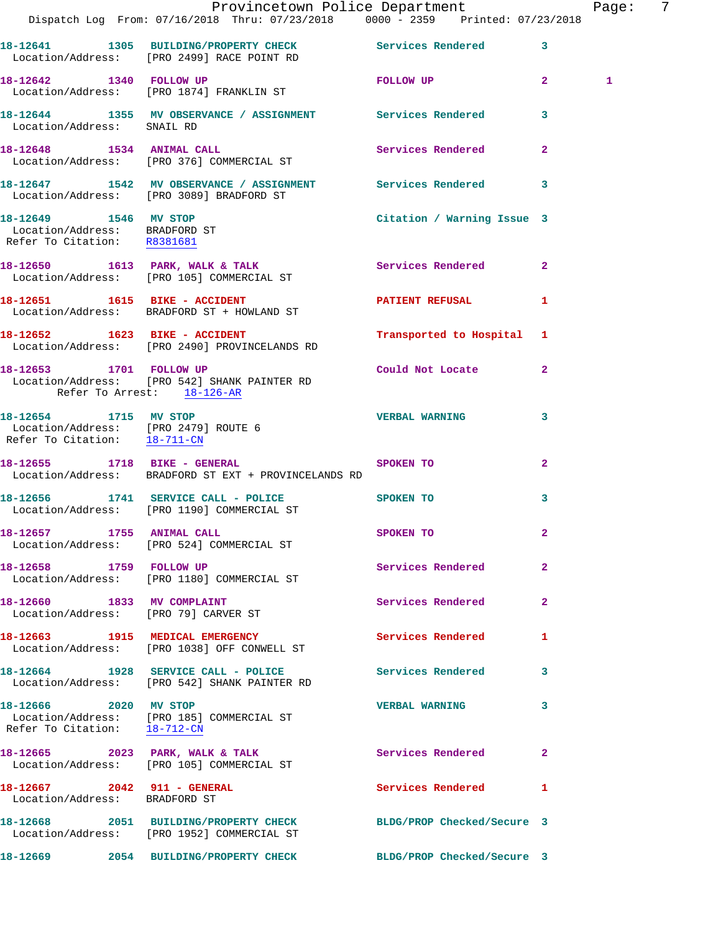|                                                                                       | Provincetown Police Department                                                                                 |                            |              | Page: | -7 |
|---------------------------------------------------------------------------------------|----------------------------------------------------------------------------------------------------------------|----------------------------|--------------|-------|----|
|                                                                                       | Dispatch Log From: 07/16/2018 Thru: 07/23/2018 0000 - 2359 Printed: 07/23/2018                                 |                            |              |       |    |
|                                                                                       | 18-12641 1305 BUILDING/PROPERTY CHECK Services Rendered 3<br>Location/Address: [PRO 2499] RACE POINT RD        |                            |              |       |    |
|                                                                                       | 18-12642 1340 FOLLOW UP<br>Location/Address: [PRO 1874] FRANKLIN ST                                            | FOLLOW UP 2                |              | 1     |    |
|                                                                                       | 18-12644 1355 MV OBSERVANCE / ASSIGNMENT Services Rendered 3<br>Location/Address: SNAIL RD                     |                            |              |       |    |
|                                                                                       | 18-12648 1534 ANIMAL CALL<br>Location/Address: [PRO 376] COMMERCIAL ST                                         | Services Rendered          | $\mathbf{2}$ |       |    |
|                                                                                       | 18-12647 1542 MV OBSERVANCE / ASSIGNMENT Services Rendered 3<br>Location/Address: [PRO 3089] BRADFORD ST       |                            |              |       |    |
| 18-12649 1546 MV STOP<br>Location/Address: BRADFORD ST<br>Refer To Citation: R8381681 |                                                                                                                | Citation / Warning Issue 3 |              |       |    |
|                                                                                       | 18-12650 1613 PARK, WALK & TALK 1999 Services Rendered 2<br>Location/Address: [PRO 105] COMMERCIAL ST          |                            |              |       |    |
|                                                                                       | 18-12651 1615 BIKE - ACCIDENT<br>Location/Address: BRADFORD ST + HOWLAND ST                                    | PATIENT REFUSAL 1          |              |       |    |
| 18-12652 1623 BIKE - ACCIDENT                                                         | Location/Address: [PRO 2490] PROVINCELANDS RD                                                                  | Transported to Hospital 1  |              |       |    |
| Refer To Arrest: 18-126-AR                                                            | 18-12653 1701 FOLLOW UP<br>Location/Address: [PRO 542] SHANK PAINTER RD                                        | Could Not Locate 2         |              |       |    |
|                                                                                       | 18-12654 1715 MV STOP<br>Location/Address: [PRO 2479] ROUTE 6<br>Refer To Citation: $\frac{18-711-CN}{28}$     | <b>VERBAL WARNING</b>      | 3            |       |    |
|                                                                                       | 18-12655 1718 BIKE - GENERAL SPOKEN TO<br>Location/Address: BRADFORD ST EXT + PROVINCELANDS RD                 |                            | $\mathbf{2}$ |       |    |
|                                                                                       | 18-12656 1741 SERVICE CALL - POLICE<br>Location/Address: [PRO 1190] COMMERCIAL ST                              | <b>SPOKEN TO</b>           | 3            |       |    |
| 18-12657 1755 ANIMAL CALL                                                             | Location/Address: [PRO 524] COMMERCIAL ST                                                                      | SPOKEN TO                  | $\mathbf{2}$ |       |    |
| 18-12658 1759 FOLLOW UP                                                               | Location/Address: [PRO 1180] COMMERCIAL ST                                                                     | Services Rendered 2        |              |       |    |
|                                                                                       | 18-12660 1833 MV COMPLAINT<br>Location/Address: [PRO 79] CARVER ST                                             | <b>Services Rendered</b>   | $\mathbf{2}$ |       |    |
|                                                                                       | 18-12663 1915 MEDICAL EMERGENCY<br>Location/Address: [PRO 1038] OFF CONWELL ST                                 | Services Rendered          | $\mathbf{1}$ |       |    |
|                                                                                       | 18-12664 1928 SERVICE CALL - POLICE<br>Location/Address: [PRO 542] SHANK PAINTER RD                            | Services Rendered 3        |              |       |    |
| 18-12666 2020 MV STOP<br>Refer To Citation: 18-712-CN                                 | Location/Address: [PRO 185] COMMERCIAL ST                                                                      | <b>VERBAL WARNING</b>      | 3            |       |    |
|                                                                                       | 18-12665 2023 PARK, WALK & TALK 3 Services Rendered 2<br>Location/Address: [PRO 105] COMMERCIAL ST             |                            |              |       |    |
| 18-12667 2042 911 - GENERAL<br>Location/Address: BRADFORD ST                          |                                                                                                                | Services Rendered          | 1            |       |    |
|                                                                                       | 18-12668 2051 BUILDING/PROPERTY CHECK BLDG/PROP Checked/Secure 3<br>Location/Address: [PRO 1952] COMMERCIAL ST |                            |              |       |    |
|                                                                                       | 18-12669 2054 BUILDING/PROPERTY CHECK BLDG/PROP Checked/Secure 3                                               |                            |              |       |    |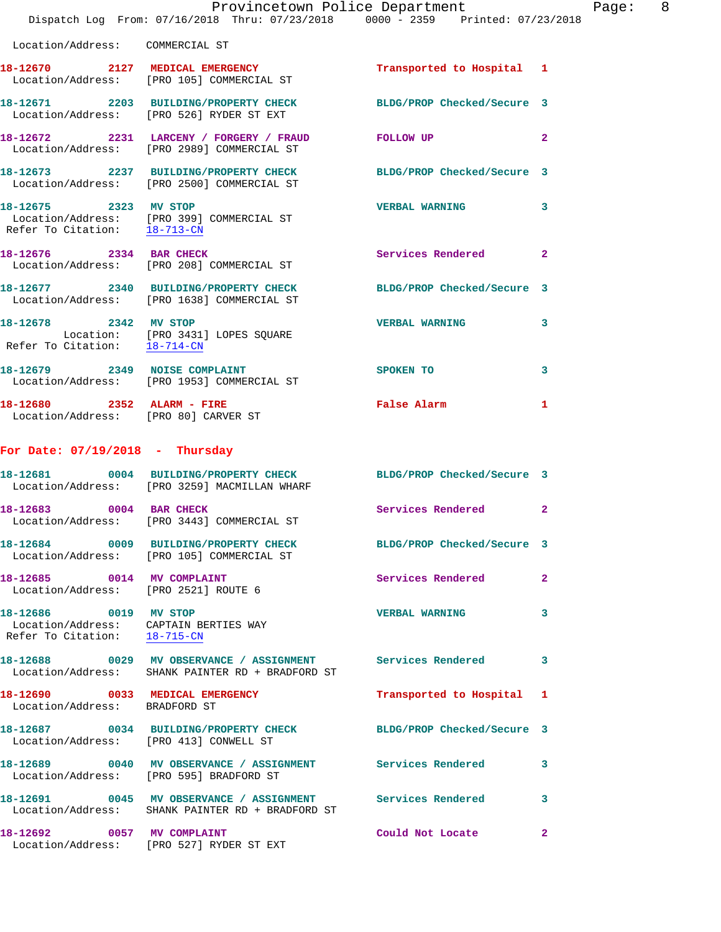|                                                                    | Provincetown Police Department<br>Dispatch Log From: 07/16/2018 Thru: 07/23/2018 0000 - 2359 Printed: 07/23/2018 |                            |              |
|--------------------------------------------------------------------|------------------------------------------------------------------------------------------------------------------|----------------------------|--------------|
| Location/Address: COMMERCIAL ST                                    |                                                                                                                  |                            |              |
|                                                                    | 18-12670 2127 MEDICAL EMERGENCY<br>Location/Address: [PRO 105] COMMERCIAL ST                                     | Transported to Hospital    | 1            |
|                                                                    | 18-12671 2203 BUILDING/PROPERTY CHECK<br>Location/Address: [PRO 526] RYDER ST EXT                                | BLDG/PROP Checked/Secure 3 |              |
|                                                                    | 18-12672 2231 LARCENY / FORGERY / FRAUD<br>Location/Address: [PRO 2989] COMMERCIAL ST                            | FOLLOW UP                  | $\mathbf{2}$ |
|                                                                    | 18-12673 2237 BUILDING/PROPERTY CHECK<br>Location/Address: [PRO 2500] COMMERCIAL ST                              | BLDG/PROP Checked/Secure 3 |              |
| 18-12675 2323 MV STOP<br>Refer To Citation: 18-713-CN              | Location/Address: [PRO 399] COMMERCIAL ST                                                                        | <b>VERBAL WARNING</b>      | 3            |
| 18-12676 2334 BAR CHECK                                            | Location/Address: [PRO 208] COMMERCIAL ST                                                                        | Services Rendered          | $\mathbf{2}$ |
|                                                                    | 18-12677 2340 BUILDING/PROPERTY CHECK<br>Location/Address: [PRO 1638] COMMERCIAL ST                              | BLDG/PROP Checked/Secure 3 |              |
| Refer To Citation: 18-714-CN                                       | 18-12678 2342 MV STOP<br>Location: [PRO 3431] LOPES SQUARE                                                       | <b>VERBAL WARNING</b>      | 3            |
|                                                                    | 18-12679 2349 NOISE COMPLAINT<br>Location/Address: [PRO 1953] COMMERCIAL ST                                      | <b>SPOKEN TO</b>           | 3            |
| 18-12680 2352 ALARM - FIRE<br>Location/Address: [PRO 80] CARVER ST |                                                                                                                  | False Alarm                | 1            |
| For Date: $07/19/2018$ - Thursday                                  |                                                                                                                  |                            |              |
|                                                                    | 18-12681 0004 BUILDING/PROPERTY CHECK<br>Location/Address: [PRO 3259] MACMILLAN WHARF                            | BLDG/PROP Checked/Secure 3 |              |
| 18-12683 0004 BAR CHECK                                            | Location/Address: [PRO 3443] COMMERCIAL ST                                                                       | Services Rendered          | $\mathbf{2}$ |
|                                                                    | 18-12684 0009 BUILDING/PROPERTY CHECK BLDG/PROP Checked/Secure 3<br>Location/Address: [PRO 105] COMMERCIAL ST    |                            |              |
| 18-12685 0014 MV COMPLAINT<br>Location/Address: [PRO 2521] ROUTE 6 |                                                                                                                  | Services Rendered          | 2            |
| 18-12686 0019 MV STOP                                              | Location/Address: CAPTAIN BERTIES WAY<br>Refer To Citation: 18-715-CN                                            | <b>VERBAL WARNING</b>      | 3            |
|                                                                    | 18-12688 0029 MV OBSERVANCE / ASSIGNMENT<br>Location/Address: SHANK PAINTER RD + BRADFORD ST                     | Services Rendered          | 3            |
| 18-12690 0033 MEDICAL EMERGENCY<br>Location/Address: BRADFORD ST   |                                                                                                                  | Transported to Hospital    | 1            |
|                                                                    | 18-12687 0034 BUILDING/PROPERTY CHECK<br>Location/Address: [PRO 413] CONWELL ST                                  | BLDG/PROP Checked/Secure 3 |              |
|                                                                    | 18-12689 0040 MV OBSERVANCE / ASSIGNMENT Services Rendered<br>Location/Address: [PRO 595] BRADFORD ST            |                            | 3            |
|                                                                    | 18-12691 0045 MV OBSERVANCE / ASSIGNMENT Services Rendered<br>Location/Address: SHANK PAINTER RD + BRADFORD ST   |                            | 3            |
| 18-12692 0057 MV COMPLAINT                                         | Location/Address: [PRO 527] RYDER ST EXT                                                                         | Could Not Locate           | 2            |

Page: 8<br>D18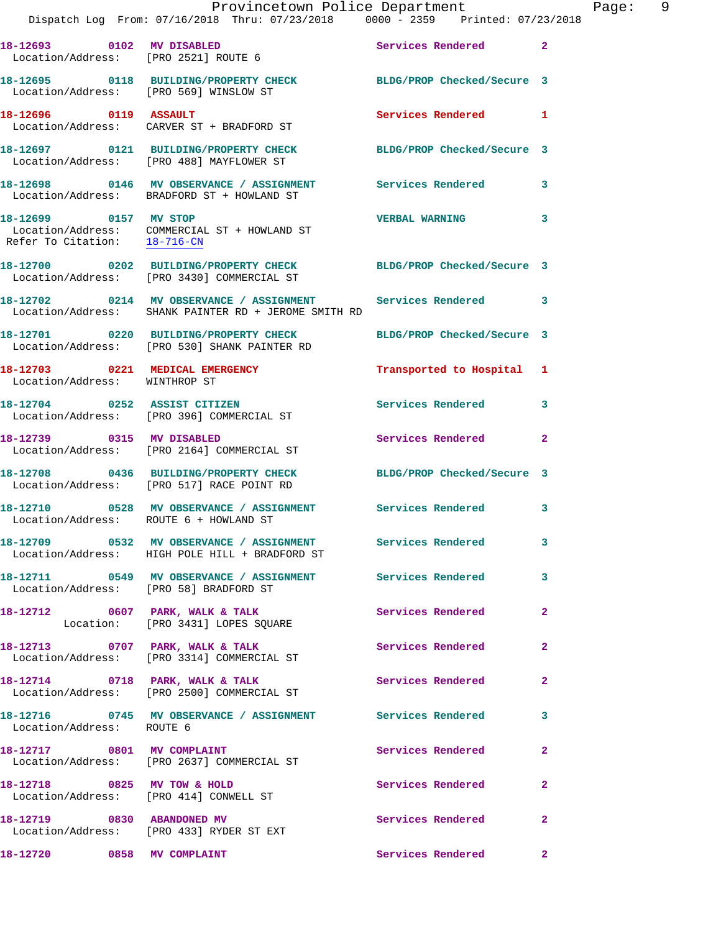|                                                       | Dispatch Log From: 07/16/2018 Thru: 07/23/2018 0000 - 2359 Printed: 07/23/2018                                       | Provincetown Police Department | Page: 9        |
|-------------------------------------------------------|----------------------------------------------------------------------------------------------------------------------|--------------------------------|----------------|
|                                                       | 18-12693 0102 MV DISABLED<br>Location/Address: [PRO 2521] ROUTE 6                                                    | Services Rendered 2            |                |
|                                                       | 18-12695 0118 BUILDING/PROPERTY CHECK BLDG/PROP Checked/Secure 3<br>Location/Address: [PRO 569] WINSLOW ST           |                                |                |
|                                                       | 18-12696 0119 ASSAULT<br>Location/Address: CARVER ST + BRADFORD ST                                                   | Services Rendered 1            |                |
|                                                       | 18-12697   0121   BUILDING/PROPERTY CHECK   BLDG/PROP Checked/Secure 3<br>Location/Address: [PRO 488] MAYFLOWER ST   |                                |                |
|                                                       | 18-12698 0146 MV OBSERVANCE / ASSIGNMENT Services Rendered 3<br>Location/Address: BRADFORD ST + HOWLAND ST           |                                |                |
| 18-12699 0157 MV STOP<br>Refer To Citation: 18-716-CN | Location/Address: COMMERCIAL ST + HOWLAND ST                                                                         | <b>VERBAL WARNING</b>          | 3              |
|                                                       | 18-12700 0202 BUILDING/PROPERTY CHECK BLDG/PROP Checked/Secure 3<br>Location/Address: [PRO 3430] COMMERCIAL ST       |                                |                |
|                                                       | 18-12702 0214 MV OBSERVANCE / ASSIGNMENT Services Rendered 3<br>Location/Address: SHANK PAINTER RD + JEROME SMITH RD |                                |                |
|                                                       | 18-12701 0220 BUILDING/PROPERTY CHECK<br>Location/Address: [PRO 530] SHANK PAINTER RD                                | BLDG/PROP Checked/Secure 3     |                |
| Location/Address: WINTHROP ST                         | 18-12703 0221 MEDICAL EMERGENCY                                                                                      | Transported to Hospital 1      |                |
|                                                       | 18-12704 0252 ASSIST CITIZEN<br>Location/Address: [PRO 396] COMMERCIAL ST                                            | Services Rendered 3            |                |
|                                                       | 18-12739 0315 MV DISABLED<br>Location/Address: [PRO 2164] COMMERCIAL ST                                              | Services Rendered 2            |                |
|                                                       | 18-12708 0436 BUILDING/PROPERTY CHECK BLDG/PROP Checked/Secure 3<br>Location/Address: [PRO 517] RACE POINT RD        |                                |                |
| Location/Address: ROUTE 6 + HOWLAND ST                | 18-12710 0528 MV OBSERVANCE / ASSIGNMENT Services Rendered                                                           |                                | 3              |
|                                                       | 18-12709 0532 MV OBSERVANCE / ASSIGNMENT Services Rendered<br>Location/Address: HIGH POLE HILL + BRADFORD ST         |                                | 3              |
| Location/Address: [PRO 58] BRADFORD ST                | 18-12711 0549 MV OBSERVANCE / ASSIGNMENT Services Rendered                                                           |                                | 3              |
|                                                       | 18-12712 0607 PARK, WALK & TALK 3 Services Rendered<br>Location: [PRO 3431] LOPES SQUARE                             |                                | $\overline{2}$ |
|                                                       | 18-12713 0707 PARK, WALK & TALK<br>Location/Address: [PRO 3314] COMMERCIAL ST                                        | Services Rendered              | $\mathbf{2}$   |
|                                                       | 18-12714 0718 PARK, WALK & TALK 3 Services Rendered<br>Location/Address: [PRO 2500] COMMERCIAL ST                    |                                | $\overline{a}$ |
| Location/Address: ROUTE 6                             | 18-12716 0745 MV OBSERVANCE / ASSIGNMENT Services Rendered                                                           |                                | 3              |
|                                                       | 18-12717 0801 MV COMPLAINT<br>Location/Address: [PRO 2637] COMMERCIAL ST                                             | Services Rendered              | $\overline{2}$ |
|                                                       | 18-12718 0825 MV TOW & HOLD<br>Location/Address: [PRO 414] CONWELL ST                                                | Services Rendered              | $\mathbf{2}$   |
| 18-12719 0830 ABANDONED MV                            | Location/Address: [PRO 433] RYDER ST EXT                                                                             | Services Rendered              | $\overline{2}$ |
| 18-12720 0858 MV COMPLAINT                            |                                                                                                                      | Services Rendered              | $\mathbf{2}$   |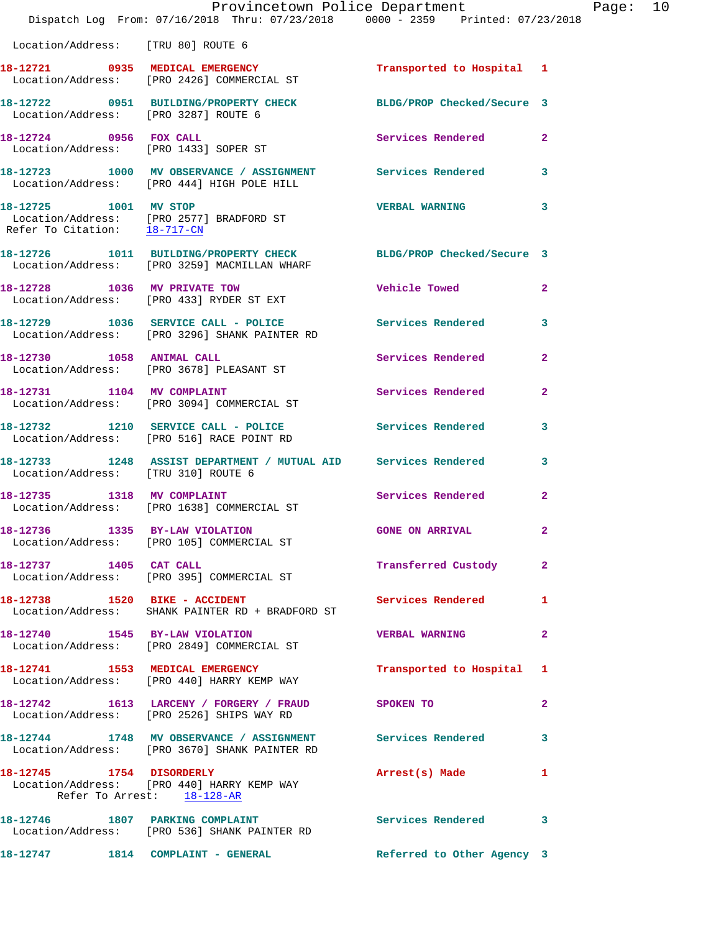|                                                       | Provincetown Police Department<br>Dispatch Log From: 07/16/2018 Thru: 07/23/2018 0000 - 2359 Printed: 07/23/2018 |                            |                |
|-------------------------------------------------------|------------------------------------------------------------------------------------------------------------------|----------------------------|----------------|
| Location/Address: [TRU 80] ROUTE 6                    |                                                                                                                  |                            |                |
|                                                       | 18-12721 0935 MEDICAL EMERGENCY<br>Location/Address: [PRO 2426] COMMERCIAL ST                                    | Transported to Hospital 1  |                |
|                                                       |                                                                                                                  | BLDG/PROP Checked/Secure 3 |                |
| 18-12724 0956 FOX CALL                                | Location/Address: [PRO 1433] SOPER ST                                                                            | <b>Services Rendered</b>   | $\mathbf{2}$   |
|                                                       | 18-12723 1000 MV OBSERVANCE / ASSIGNMENT Services Rendered<br>Location/Address: [PRO 444] HIGH POLE HILL         |                            | 3              |
| 18-12725 1001 MV STOP<br>Refer To Citation: 18-717-CN | Location/Address: [PRO 2577] BRADFORD ST                                                                         | <b>VERBAL WARNING</b>      | 3              |
|                                                       | 18-12726 1011 BUILDING/PROPERTY CHECK BLDG/PROP Checked/Secure 3<br>Location/Address: [PRO 3259] MACMILLAN WHARF |                            |                |
|                                                       | 18-12728 1036 MV PRIVATE TOW<br>Location/Address: [PRO 433] RYDER ST EXT                                         | <b>Vehicle Towed</b>       | $\mathbf{2}$   |
|                                                       | 18-12729 1036 SERVICE CALL - POLICE Services Rendered<br>Location/Address: [PRO 3296] SHANK PAINTER RD           |                            | 3              |
|                                                       | 18-12730 1058 ANIMAL CALL<br>Location/Address: [PRO 3678] PLEASANT ST                                            | Services Rendered          | $\mathbf{2}$   |
| 18-12731 1104 MV COMPLAINT                            | Location/Address: [PRO 3094] COMMERCIAL ST                                                                       | Services Rendered          | $\mathbf{2}$   |
|                                                       | 18-12732 1210 SERVICE CALL - POLICE<br>Location/Address: [PRO 516] RACE POINT RD                                 | <b>Services Rendered</b>   | 3              |
| Location/Address: [TRU 310] ROUTE 6                   | 18-12733 1248 ASSIST DEPARTMENT / MUTUAL AID Services Rendered                                                   |                            | 3              |
|                                                       | 18-12735 1318 MV COMPLAINT<br>Location/Address: [PRO 1638] COMMERCIAL ST                                         | <b>Services Rendered</b>   | $\overline{a}$ |
| 18-12736 1335 BY-LAW VIOLATION                        | Location/Address: [PRO 105] COMMERCIAL ST                                                                        | <b>GONE ON ARRIVAL</b>     |                |
| 18-12737 1405 CAT CALL                                | Location/Address: [PRO 395] COMMERCIAL ST                                                                        | Transferred Custody        | $\overline{a}$ |
| 18-12738 1520 BIKE - ACCIDENT                         | Location/Address: SHANK PAINTER RD + BRADFORD ST                                                                 | Services Rendered          | 1              |
|                                                       | 18-12740 1545 BY-LAW VIOLATION<br>Location/Address: [PRO 2849] COMMERCIAL ST                                     | <b>VERBAL WARNING</b>      | $\mathbf{2}$   |
|                                                       | 18-12741 1553 MEDICAL EMERGENCY<br>Location/Address: [PRO 440] HARRY KEMP WAY                                    | Transported to Hospital    | 1              |
|                                                       | 18-12742 1613 LARCENY / FORGERY / FRAUD SPOKEN TO<br>Location/Address: [PRO 2526] SHIPS WAY RD                   |                            | $\mathbf{2}$   |
|                                                       | 18-12744 1748 MV OBSERVANCE / ASSIGNMENT Services Rendered<br>Location/Address: [PRO 3670] SHANK PAINTER RD      |                            | 3              |
| Refer To Arrest: 18-128-AR                            | 18-12745 1754 DISORDERLY<br>Location/Address: [PRO 440] HARRY KEMP WAY                                           | Arrest(s) Made             | 1              |
|                                                       | 18-12746 1807 PARKING COMPLAINT<br>Location/Address: [PRO 536] SHANK PAINTER RD                                  | <b>Services Rendered</b>   | 3              |
|                                                       | 18-12747 1814 COMPLAINT - GENERAL                                                                                | Referred to Other Agency 3 |                |

Page:  $10$ <br> $18$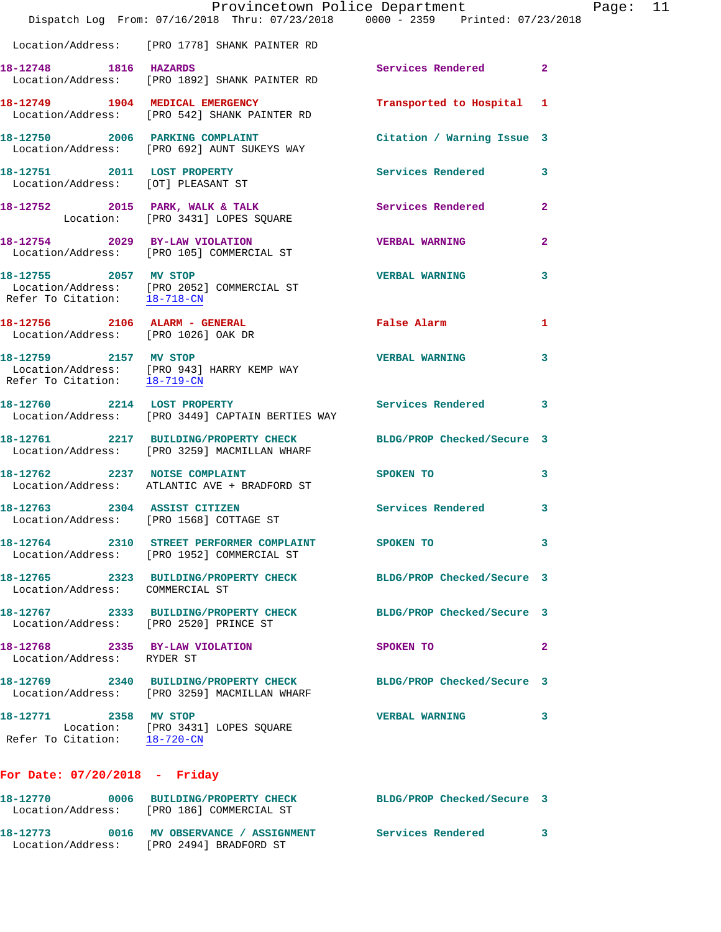|                                                                         | Provincetown Police Department<br>Dispatch Log From: 07/16/2018 Thru: 07/23/2018 0000 - 2359 Printed: 07/23/2018 |                            |                |
|-------------------------------------------------------------------------|------------------------------------------------------------------------------------------------------------------|----------------------------|----------------|
|                                                                         | Location/Address: [PRO 1778] SHANK PAINTER RD                                                                    |                            |                |
| 18-12748 1816 HAZARDS                                                   | Location/Address: [PRO 1892] SHANK PAINTER RD                                                                    | <b>Services Rendered</b>   | $\mathbf{2}$   |
|                                                                         | 18-12749 1904 MEDICAL EMERGENCY<br>Location/Address: [PRO 542] SHANK PAINTER RD                                  | Transported to Hospital    | 1              |
|                                                                         | 18-12750 2006 PARKING COMPLAINT<br>Location/Address: [PRO 692] AUNT SUKEYS WAY                                   | Citation / Warning Issue 3 |                |
| 18-12751 2011 LOST PROPERTY<br>Location/Address: [OT] PLEASANT ST       |                                                                                                                  | <b>Services Rendered</b>   | 3              |
|                                                                         | 18-12752 2015 PARK, WALK & TALK<br>Location: [PRO 3431] LOPES SQUARE                                             | <b>Services Rendered</b>   | $\mathbf{2}$   |
|                                                                         | 18-12754 2029 BY-LAW VIOLATION<br>Location/Address: [PRO 105] COMMERCIAL ST                                      | <b>VERBAL WARNING</b>      | 2              |
| 18-12755 2057 MV STOP<br>Refer To Citation: 18-718-CN                   | Location/Address: [PRO 2052] COMMERCIAL ST                                                                       | <b>VERBAL WARNING</b>      | 3              |
| 18-12756 2106 ALARM - GENERAL<br>Location/Address: [PRO 1026] OAK DR    |                                                                                                                  | False Alarm                | 1              |
|                                                                         | 18-12759 2157 MV STOP<br>Location/Address: [PRO 943] HARRY KEMP WAY<br>Refer To Citation: 18-719-CN              | <b>VERBAL WARNING</b>      | 3              |
| 18-12760 2214 LOST PROPERTY                                             | Location/Address: [PRO 3449] CAPTAIN BERTIES WAY                                                                 | <b>Services Rendered</b>   | 3              |
|                                                                         | 18-12761 2217 BUILDING/PROPERTY CHECK<br>Location/Address: [PRO 3259] MACMILLAN WHARF                            | BLDG/PROP Checked/Secure 3 |                |
| 18-12762 2237 NOISE COMPLAINT                                           | Location/Address: ATLANTIC AVE + BRADFORD ST                                                                     | SPOKEN TO                  | 3              |
| 18-12763 2304 ASSIST CITIZEN<br>Location/Address: [PRO 1568] COTTAGE ST |                                                                                                                  | <b>Services Rendered</b>   | 3              |
|                                                                         | 18-12764 2310 STREET PERFORMER COMPLAINT SPOKEN TO<br>Location/Address: [PRO 1952] COMMERCIAL ST                 |                            | 3              |
| Location/Address: COMMERCIAL ST                                         | 18-12765 2323 BUILDING/PROPERTY CHECK BLDG/PROP Checked/Secure 3                                                 |                            |                |
| Location/Address: [PRO 2520] PRINCE ST                                  | 18-12767 2333 BUILDING/PROPERTY CHECK BLDG/PROP Checked/Secure 3                                                 |                            |                |
| 18-12768 2335 BY-LAW VIOLATION<br>Location/Address: RYDER ST            |                                                                                                                  | SPOKEN TO                  | $\overline{2}$ |
|                                                                         | 18-12769 2340 BUILDING/PROPERTY CHECK BLDG/PROP Checked/Secure 3<br>Location/Address: [PRO 3259] MACMILLAN WHARF |                            |                |
| 18-12771 2358 MV STOP<br>Refer To Citation: 18-720-CN                   | Location: [PRO 3431] LOPES SQUARE                                                                                | <b>VERBAL WARNING</b>      | 3              |
| For Date: 07/20/2018 - Friday                                           |                                                                                                                  |                            |                |
|                                                                         | 18-12770 0006 BUILDING/PROPERTY CHECK<br>Location/Address: [PRO 186] COMMERCIAL ST                               | BLDG/PROP Checked/Secure 3 |                |

**18-12773 0016 MV OBSERVANCE / ASSIGNMENT Services Rendered 3**  Location/Address: [PRO 2494] BRADFORD ST

Page: 11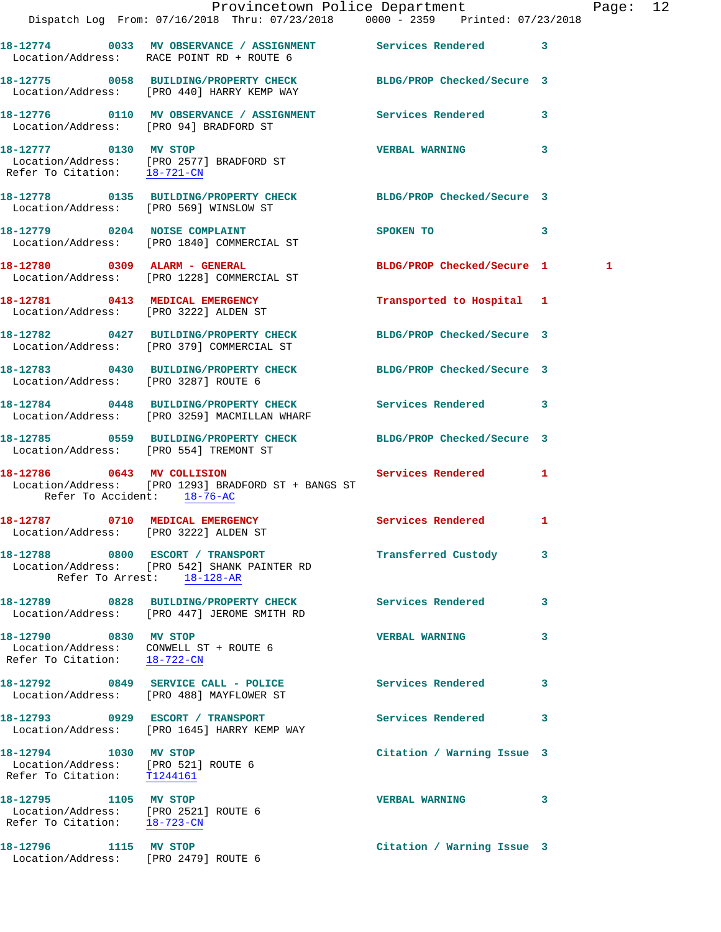|                                                                                               | Dispatch Log From: 07/16/2018 Thru: 07/23/2018 0000 - 2359 Printed: 07/23/2018                                 | Provincetown Police Department |              | Page: 12 |  |
|-----------------------------------------------------------------------------------------------|----------------------------------------------------------------------------------------------------------------|--------------------------------|--------------|----------|--|
|                                                                                               | 18-12774 0033 MV OBSERVANCE / ASSIGNMENT Services Rendered 3<br>Location/Address: RACE POINT RD + ROUTE 6      |                                |              |          |  |
|                                                                                               | 18-12775 0058 BUILDING/PROPERTY CHECK BLDG/PROP Checked/Secure 3<br>Location/Address: [PRO 440] HARRY KEMP WAY |                                |              |          |  |
| Location/Address: [PRO 94] BRADFORD ST                                                        | 18-12776 0110 MV OBSERVANCE / ASSIGNMENT Services Rendered 3                                                   |                                |              |          |  |
| 18-12777 0130 MV STOP                                                                         | Location/Address: [PRO 2577] BRADFORD ST<br>Refer To Citation: 18-721-CN                                       | VERBAL WARNING 3               |              |          |  |
|                                                                                               | 18-12778 0135 BUILDING/PROPERTY CHECK BLDG/PROP Checked/Secure 3<br>Location/Address: [PRO 569] WINSLOW ST     |                                |              |          |  |
|                                                                                               | 18-12779 0204 NOISE COMPLAINT<br>Location/Address: [PRO 1840] COMMERCIAL ST                                    | <b>SPOKEN TO</b>               | $\mathbf{3}$ |          |  |
|                                                                                               | 18-12780 0309 ALARM - GENERAL<br>Location/Address: [PRO 1228] COMMERCIAL ST                                    | BLDG/PROP Checked/Secure 1     |              | 1        |  |
|                                                                                               | 18-12781 0413 MEDICAL EMERGENCY<br>Location/Address: [PRO 3222] ALDEN ST                                       | Transported to Hospital 1      |              |          |  |
|                                                                                               | 18-12782 0427 BUILDING/PROPERTY CHECK BLDG/PROP Checked/Secure 3<br>Location/Address: [PRO 379] COMMERCIAL ST  |                                |              |          |  |
| Location/Address: [PRO 3287] ROUTE 6                                                          | 18-12783 0430 BUILDING/PROPERTY CHECK BLDG/PROP Checked/Secure 3                                               |                                |              |          |  |
|                                                                                               | 18-12784 0448 BUILDING/PROPERTY CHECK Services Rendered 3<br>Location/Address: [PRO 3259] MACMILLAN WHARF      |                                |              |          |  |
| Location/Address: [PRO 554] TREMONT ST                                                        | 18-12785 0559 BUILDING/PROPERTY CHECK BLDG/PROP Checked/Secure 3                                               |                                |              |          |  |
| 18-12786 0643 MV COLLISION<br>Refer To Accident: 18-76-AC                                     | Location/Address: [PRO 1293] BRADFORD ST + BANGS ST                                                            | Services Rendered 1            |              |          |  |
| 18-12787 0710 MEDICAL EMERGENCY                                                               | Location/Address: [PRO 3222] ALDEN ST                                                                          | Services Rendered 1            |              |          |  |
|                                                                                               | 18-12788 0800 ESCORT / TRANSPORT<br>Location/Address: [PRO 542] SHANK PAINTER RD<br>Refer To Arrest: 18-128-AR | Transferred Custody 3          |              |          |  |
|                                                                                               | 18-12789 0828 BUILDING/PROPERTY CHECK Services Rendered<br>Location/Address: [PRO 447] JEROME SMITH RD         |                                | 3            |          |  |
| 18-12790 0830 MV STOP<br>Refer To Citation: 18-722-CN                                         | Location/Address: CONWELL ST + ROUTE 6                                                                         | <b>VERBAL WARNING</b>          | 3            |          |  |
|                                                                                               | 18-12792 0849 SERVICE CALL - POLICE<br>Location/Address: [PRO 488] MAYFLOWER ST                                | Services Rendered              | 3            |          |  |
|                                                                                               | 18-12793 0929 ESCORT / TRANSPORT<br>Location/Address: [PRO 1645] HARRY KEMP WAY                                | Services Rendered              | 3            |          |  |
| 18-12794 1030 MV STOP<br>Location/Address: [PRO 521] ROUTE 6<br>Refer To Citation: T1244161   |                                                                                                                | Citation / Warning Issue 3     |              |          |  |
| 18-12795 1105 MV STOP<br>Location/Address: [PRO 2521] ROUTE 6<br>Refer To Citation: 18-723-CN |                                                                                                                | <b>VERBAL WARNING</b>          | 3            |          |  |
| 18-12796 1115 MV STOP<br>Location/Address: [PRO 2479] ROUTE 6                                 |                                                                                                                | Citation / Warning Issue 3     |              |          |  |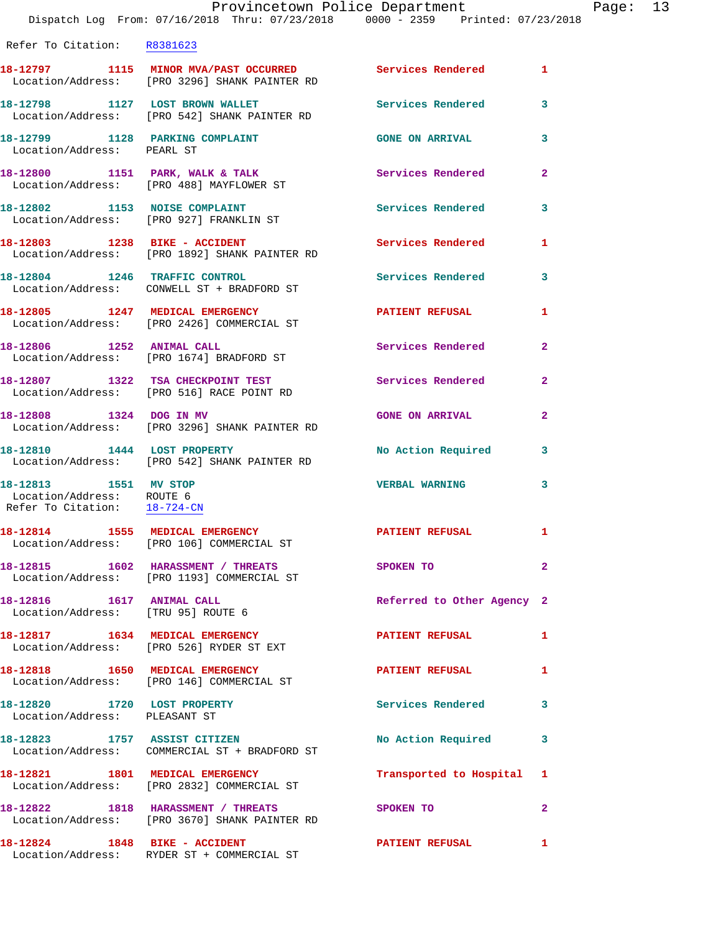Refer To Citation: R8381623

|                                                                                                | 18-12797 1115 MINOR MVA/PAST OCCURRED<br>Location/Address: [PRO 3296] SHANK PAINTER RD | Services Rendered 1        |                |
|------------------------------------------------------------------------------------------------|----------------------------------------------------------------------------------------|----------------------------|----------------|
| 18-12798 1127 LOST BROWN WALLET                                                                | Location/Address: [PRO 542] SHANK PAINTER RD                                           | <b>Services Rendered</b>   | 3              |
| 18-12799 1128 PARKING COMPLAINT<br>Location/Address: PEARL ST                                  |                                                                                        | <b>GONE ON ARRIVAL</b>     | 3              |
|                                                                                                | 18-12800 1151 PARK, WALK & TALK<br>Location/Address: [PRO 488] MAYFLOWER ST            | Services Rendered          | $\mathbf{2}$   |
|                                                                                                | 18-12802 1153 NOISE COMPLAINT<br>Location/Address: [PRO 927] FRANKLIN ST               | <b>Services Rendered</b>   | 3              |
| 18-12803 1238 BIKE - ACCIDENT                                                                  | Location/Address: [PRO 1892] SHANK PAINTER RD                                          | Services Rendered          | 1              |
|                                                                                                | 18-12804 1246 TRAFFIC CONTROL<br>Location/Address: CONWELL ST + BRADFORD ST            | Services Rendered          | 3              |
|                                                                                                | 18-12805 1247 MEDICAL EMERGENCY<br>Location/Address: [PRO 2426] COMMERCIAL ST          | <b>PATIENT REFUSAL</b>     | 1              |
| 18-12806 1252 ANIMAL CALL                                                                      | Location/Address: [PRO 1674] BRADFORD ST                                               | Services Rendered          | $\mathbf{2}$   |
|                                                                                                | 18-12807 1322 TSA CHECKPOINT TEST<br>Location/Address: [PRO 516] RACE POINT RD         | Services Rendered          | $\mathbf{2}$   |
| 18-12808 1324 DOG IN MV                                                                        | Location/Address: [PRO 3296] SHANK PAINTER RD                                          | <b>GONE ON ARRIVAL</b>     | $\mathbf{2}$   |
|                                                                                                | 18-12810 1444 LOST PROPERTY<br>Location/Address: [PRO 542] SHANK PAINTER RD            | No Action Required         | 3              |
| 18-12813 1551 MV STOP<br>Location/Address: ROUTE 6<br>Refer To Citation: $\frac{18-724-CN}{2}$ |                                                                                        | <b>VERBAL WARNING</b>      | 3              |
|                                                                                                | 18-12814 1555 MEDICAL EMERGENCY<br>Location/Address: [PRO 106] COMMERCIAL ST           | <b>PATIENT REFUSAL</b>     | $\mathbf{1}$   |
|                                                                                                | 18-12815 1602 HARASSMENT / THREATS<br>Location/Address: [PRO 1193] COMMERCIAL ST       | SPOKEN TO                  | $\mathbf{2}$   |
| 18-12816   1617   ANIMAL CALL<br>Location/Address: [TRU 95] ROUTE 6                            |                                                                                        | Referred to Other Agency 2 |                |
|                                                                                                | 18-12817 1634 MEDICAL EMERGENCY<br>Location/Address: [PRO 526] RYDER ST EXT            | <b>PATIENT REFUSAL</b>     | $\mathbf{1}$   |
|                                                                                                | 18-12818 1650 MEDICAL EMERGENCY<br>Location/Address: [PRO 146] COMMERCIAL ST           | <b>PATIENT REFUSAL</b>     | 1              |
| 18-12820 1720 LOST PROPERTY<br>Location/Address: PLEASANT ST                                   |                                                                                        | <b>Services Rendered</b>   | 3              |
| 18-12823 1757 ASSIST CITIZEN                                                                   | Location/Address: COMMERCIAL ST + BRADFORD ST                                          | No Action Required         | 3              |
| 18-12821 1801 MEDICAL EMERGENCY                                                                | Location/Address: [PRO 2832] COMMERCIAL ST                                             | Transported to Hospital 1  |                |
|                                                                                                | 18-12822 1818 HARASSMENT / THREATS<br>Location/Address: [PRO 3670] SHANK PAINTER RD    | SPOKEN TO                  | $\overline{a}$ |
| 18-12824 1848 BIKE - ACCIDENT                                                                  | Location/Address: RYDER ST + COMMERCIAL ST                                             | <b>PATIENT REFUSAL</b>     | 1              |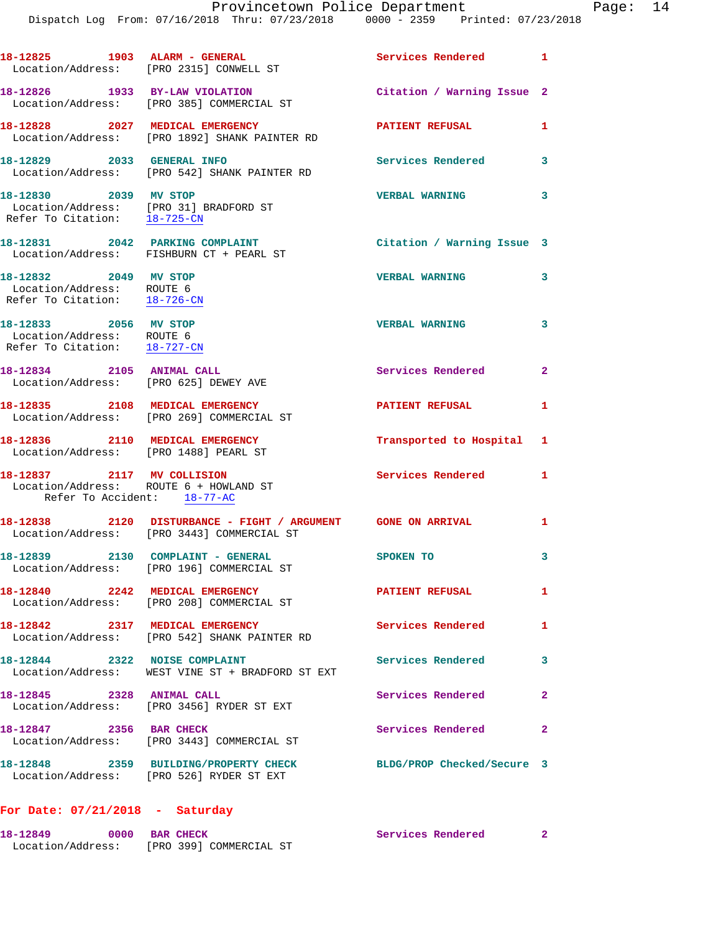|                                                                                                     | 18-12825 1903 ALARM - GENERAL<br>Location/Address: [PRO 2315] CONWELL ST                                     | Services Rendered 1        |                |
|-----------------------------------------------------------------------------------------------------|--------------------------------------------------------------------------------------------------------------|----------------------------|----------------|
|                                                                                                     | 18-12826 1933 BY-LAW VIOLATION<br>Location/Address: [PRO 385] COMMERCIAL ST                                  | Citation / Warning Issue 2 |                |
|                                                                                                     | 18-12828 2027 MEDICAL EMERGENCY<br>Location/Address: [PRO 1892] SHANK PAINTER RD                             | <b>PATIENT REFUSAL</b>     | 1              |
| 18-12829 2033 GENERAL INFO                                                                          | Location/Address: [PRO 542] SHANK PAINTER RD                                                                 | Services Rendered 3        |                |
| 18-12830 2039 MV STOP<br>Location/Address: [PRO 31] BRADFORD ST<br>Refer To Citation: 18-725-CN     |                                                                                                              | <b>VERBAL WARNING</b>      | 3              |
|                                                                                                     | 18-12831 2042 PARKING COMPLAINT<br>Location/Address: FISHBURN CT + PEARL ST                                  | Citation / Warning Issue 3 |                |
| 18-12832 2049 MV STOP<br>Location/Address: ROUTE 6<br>Refer To Citation: 18-726-CN                  |                                                                                                              | <b>VERBAL WARNING</b>      | 3              |
| 18-12833 2056 MV STOP<br>Location/Address: ROUTE 6<br>Refer To Citation: 18-727-CN                  |                                                                                                              | <b>VERBAL WARNING</b>      | $\mathbf{3}$   |
| 18-12834 2105 ANIMAL CALL<br>Location/Address: [PRO 625] DEWEY AVE                                  |                                                                                                              | Services Rendered 2        |                |
|                                                                                                     | 18-12835 2108 MEDICAL EMERGENCY<br>Location/Address: [PRO 269] COMMERCIAL ST                                 | <b>PATIENT REFUSAL</b>     | $\mathbf{1}$   |
| 18-12836 2110 MEDICAL EMERGENCY<br>Location/Address: [PRO 1488] PEARL ST                            |                                                                                                              | Transported to Hospital 1  |                |
| 18-12837 2117 MV COLLISION<br>Location/Address: ROUTE 6 + HOWLAND ST<br>Refer To Accident: 18-77-AC |                                                                                                              | Services Rendered 1        |                |
|                                                                                                     | 18-12838 2120 DISTURBANCE - FIGHT / ARGUMENT GONE ON ARRIVAL 1<br>Location/Address: [PRO 3443] COMMERCIAL ST |                            |                |
|                                                                                                     | 18-12839 2130 COMPLAINT - GENERAL<br>Location/Address: [PRO 196] COMMERCIAL ST                               | <b>SPOKEN TO</b>           |                |
|                                                                                                     | 18-12840 2242 MEDICAL EMERGENCY<br>Location/Address: [PRO 208] COMMERCIAL ST                                 | <b>PATIENT REFUSAL</b>     | $\mathbf{1}$   |
| 18-12842 2317 MEDICAL EMERGENCY                                                                     | Location/Address: [PRO 542] SHANK PAINTER RD                                                                 | Services Rendered          | $\mathbf{1}$   |
| 18-12844 2322 NOISE COMPLAINT                                                                       | Location/Address: WEST VINE ST + BRADFORD ST EXT                                                             | Services Rendered          | 3              |
| 18-12845 2328 ANIMAL CALL                                                                           | Location/Address: [PRO 3456] RYDER ST EXT                                                                    | Services Rendered          | $\overline{2}$ |
| 18-12847 2356 BAR CHECK                                                                             | Location/Address: [PRO 3443] COMMERCIAL ST                                                                   | Services Rendered          | $\mathbf{2}$   |
|                                                                                                     | 18-12848 2359 BUILDING/PROPERTY CHECK<br>Location/Address: [PRO 526] RYDER ST EXT                            | BLDG/PROP Checked/Secure 3 |                |
|                                                                                                     |                                                                                                              |                            |                |

## **For Date: 07/21/2018 - Saturday**

| 18-12849          | 0000 BAR CHECK |                         | Services Rendered |  |
|-------------------|----------------|-------------------------|-------------------|--|
| Location/Address: |                | [PRO 399] COMMERCIAL ST |                   |  |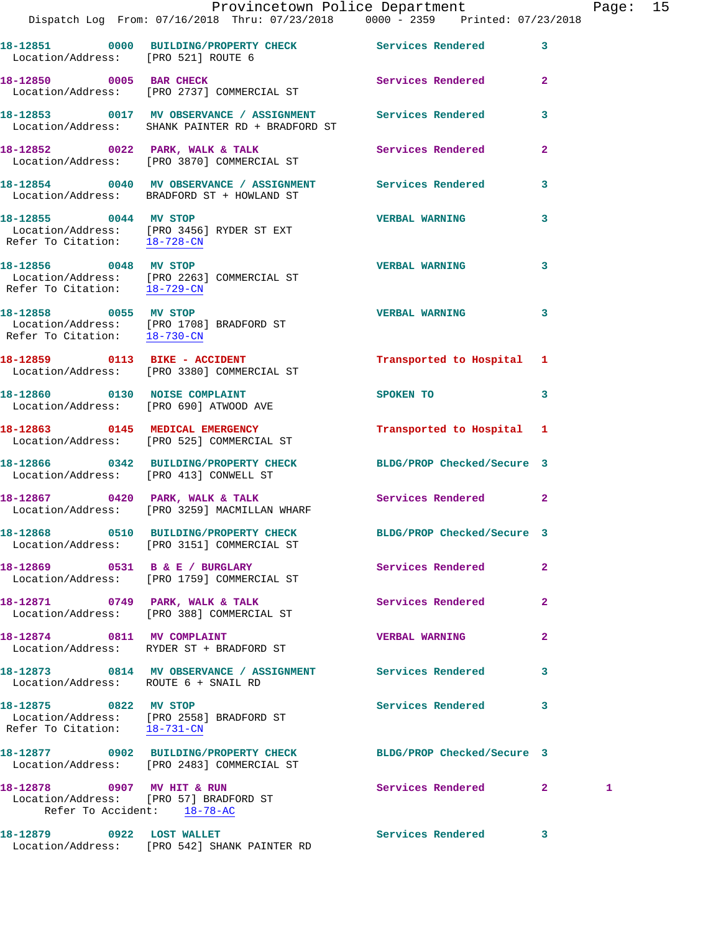|                                                           | Dispatch Log From: 07/16/2018 Thru: 07/23/2018 0000 - 2359 Printed: 07/23/2018                                        | Provincetown Police Department |                         | Page: 15 |  |
|-----------------------------------------------------------|-----------------------------------------------------------------------------------------------------------------------|--------------------------------|-------------------------|----------|--|
| Location/Address: [PRO 521] ROUTE 6                       | 18-12851 0000 BUILDING/PROPERTY CHECK Services Rendered 3                                                             |                                |                         |          |  |
|                                                           | 18-12850 0005 BAR CHECK<br>Location/Address: [PRO 2737] COMMERCIAL ST                                                 | Services Rendered 2            |                         |          |  |
|                                                           | 18-12853 0017 MV OBSERVANCE / ASSIGNMENT Services Rendered 3<br>Location/Address: SHANK PAINTER RD + BRADFORD ST      |                                |                         |          |  |
|                                                           | 18-12852 0022 PARK, WALK & TALK 3 Services Rendered 2<br>Location/Address: [PRO 3870] COMMERCIAL ST                   |                                |                         |          |  |
|                                                           | 18-12854 0040 MV OBSERVANCE / ASSIGNMENT Services Rendered<br>Location/Address: BRADFORD ST + HOWLAND ST              |                                | $\overline{\mathbf{3}}$ |          |  |
| 18-12855 0044 MV STOP                                     | Location/Address: [PRO 3456] RYDER ST EXT<br>Refer To Citation: 18-728-CN                                             | <b>VERBAL WARNING</b>          | $\overline{\mathbf{3}}$ |          |  |
|                                                           | 18-12856 0048 MV STOP<br>Location/Address: [PRO 2263] COMMERCIAL ST<br>Refer To Citation: 18-729-CM                   | <b>VERBAL WARNING</b>          | $\mathbf{3}$            |          |  |
|                                                           | 18-12858 0055 MV STOP<br>Location/Address: [PRO 1708] BRADFORD ST<br>Refer To Citation: $\frac{18-730-CM}{18-730-CM}$ | VERBAL WARNING 3               |                         |          |  |
|                                                           | 18-12859 0113 BIKE - ACCIDENT<br>Location/Address: [PRO 3380] COMMERCIAL ST                                           | Transported to Hospital 1      |                         |          |  |
|                                                           | 18-12860 0130 NOISE COMPLAINT<br>Location/Address: [PRO 690] ATWOOD AVE                                               | SPOKEN TO THE STRIKE SPOKEN TO | 3                       |          |  |
|                                                           | 18-12863 0145 MEDICAL EMERGENCY<br>Location/Address: [PRO 525] COMMERCIAL ST                                          | Transported to Hospital 1      |                         |          |  |
|                                                           | 18-12866 0342 BUILDING/PROPERTY CHECK<br>Location/Address: [PRO 413] CONWELL ST                                       | BLDG/PROP Checked/Secure 3     |                         |          |  |
|                                                           | 18-12867 0420 PARK, WALK & TALK Services Rendered 2<br>Location/Address: [PRO 3259] MACMILLAN WHARF                   |                                |                         |          |  |
|                                                           | 18-12868 0510 BUILDING/PROPERTY CHECK<br>Location/Address: [PRO 3151] COMMERCIAL ST                                   | BLDG/PROP Checked/Secure 3     |                         |          |  |
|                                                           | 18-12869 0531 B & E / BURGLARY<br>Location/Address: [PRO 1759] COMMERCIAL ST                                          | Services Rendered              | $\mathbf{2}$            |          |  |
|                                                           | 18-12871 0749 PARK, WALK & TALK<br>Location/Address: [PRO 388] COMMERCIAL ST                                          | Services Rendered              | $\mathbf{2}$            |          |  |
| 18-12874 0811 MV COMPLAINT                                | Location/Address: RYDER ST + BRADFORD ST                                                                              | <b>VERBAL WARNING</b>          | 2                       |          |  |
| Location/Address: ROUTE 6 + SNAIL RD                      | 18-12873 0814 MV OBSERVANCE / ASSIGNMENT Services Rendered                                                            |                                | 3                       |          |  |
| 18-12875 0822 MV STOP                                     | Location/Address: [PRO 2558] BRADFORD ST<br>Refer To Citation: 18-731-CN                                              | Services Rendered              | 3                       |          |  |
|                                                           | 18-12877  0902 BUILDING/PROPERTY CHECK<br>Location/Address: [PRO 2483] COMMERCIAL ST                                  | BLDG/PROP Checked/Secure 3     |                         |          |  |
| 18-12878 0907 MV HIT & RUN<br>Refer To Accident: 18-78-AC | Location/Address: [PRO 57] BRADFORD ST                                                                                | Services Rendered              | $\mathbf{2}$            | 1        |  |
| 18-12879 0922 LOST WALLET                                 |                                                                                                                       | Services Rendered 3            |                         |          |  |

Location/Address: [PRO 542] SHANK PAINTER RD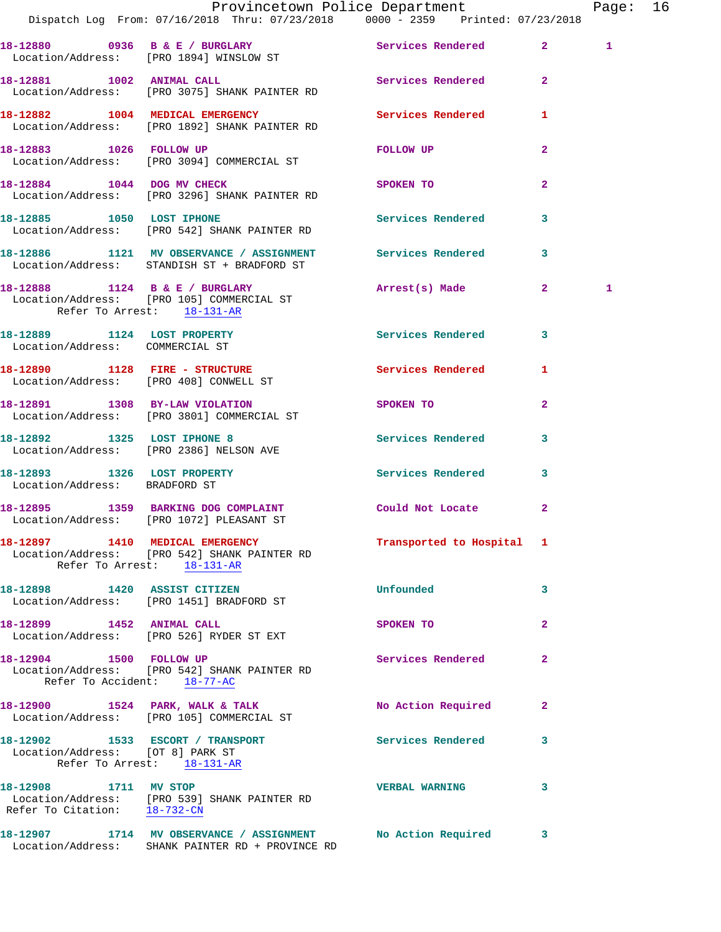|                                                        | Dispatch Log From: 07/16/2018 Thru: 07/23/2018 0000 - 2359 Printed: 07/23/2018                                            | Provincetown Police Department |                         | Page: 16 |  |
|--------------------------------------------------------|---------------------------------------------------------------------------------------------------------------------------|--------------------------------|-------------------------|----------|--|
|                                                        |                                                                                                                           |                                |                         | 1        |  |
|                                                        | 18-12880 0936 B & E / BURGLARY Services Rendered 2<br>Location/Address: [PRO 1894] WINSLOW ST                             |                                |                         |          |  |
|                                                        | 18-12881 1002 ANIMAL CALL<br>Location/Address: [PRO 3075] SHANK PAINTER RD                                                | Services Rendered 2            |                         |          |  |
|                                                        | 18-12882 1004 MEDICAL EMERGENCY Services Rendered 1 Location/Address: [PRO 1892] SHANK PAINTER RD                         |                                |                         |          |  |
|                                                        | 18-12883 1026 FOLLOW UP<br>Location/Address: [PRO 3094] COMMERCIAL ST                                                     | <b>FOLLOW UP</b>               | $\mathbf{2}$            |          |  |
|                                                        | 18-12884 1044 DOG MV CHECK<br>Location/Address: [PRO 3296] SHANK PAINTER RD                                               | SPOKEN TO                      | $\overline{2}$          |          |  |
|                                                        | 18-12885 1050 LOST IPHONE<br>Location/Address: [PRO 542] SHANK PAINTER RD                                                 | Services Rendered 3            |                         |          |  |
|                                                        | 18-12886 1121 MV OBSERVANCE / ASSIGNMENT Services Rendered 3<br>Location/Address: STANDISH ST + BRADFORD ST               |                                |                         |          |  |
| Refer To Arrest: 18-131-AR                             | 18-12888 1124 B & E / BURGLARY<br>Location/Address: [PRO 105] COMMERCIAL ST                                               | Arrest(s) Made 2               |                         | 1        |  |
| Location/Address: COMMERCIAL ST                        | 18-12889 1124 LOST PROPERTY                                                                                               | Services Rendered 3            |                         |          |  |
|                                                        | 18-12890 1128 FIRE - STRUCTURE<br>Location/Address: [PRO 408] CONWELL ST                                                  | Services Rendered 1            |                         |          |  |
|                                                        | 18-12891 1308 BY-LAW VIOLATION<br>Location/Address: [PRO 3801] COMMERCIAL ST                                              | SPOKEN TO AND TO A SPOKEN TO   | $\mathbf{2}$            |          |  |
|                                                        | 18-12892 1325 LOST IPHONE 8<br>Location/Address: [PRO 2386] NELSON AVE                                                    | Services Rendered              | $\overline{\mathbf{3}}$ |          |  |
| Location/Address: BRADFORD ST                          | 18-12893 1326 LOST PROPERTY                                                                                               | Services Rendered 3            |                         |          |  |
|                                                        | 18-12895 1359 BARKING DOG COMPLAINT Could Not Locate 2<br>Location/Address: [PRO 1072] PLEASANT ST                        |                                |                         |          |  |
|                                                        | 18-12897 1410 MEDICAL EMERGENCY<br>Location/Address: [PRO 542] SHANK PAINTER RD<br>Refer To Arrest: 18-131-AR             | Transported to Hospital 1      |                         |          |  |
|                                                        | 18-12898 1420 ASSIST CITIZEN<br>Location/Address: [PRO 1451] BRADFORD ST                                                  | Unfounded                      | 3                       |          |  |
| 18-12899 1452 ANIMAL CALL                              | Location/Address: [PRO 526] RYDER ST EXT                                                                                  | SPOKEN TO                      | $\mathbf{2}$            |          |  |
| 18-12904 1500 FOLLOW UP<br>Refer To Accident: 18-77-AC | Location/Address: [PRO 542] SHANK PAINTER RD                                                                              | Services Rendered              | $\mathbf{2}$            |          |  |
|                                                        | 18-12900 1524 PARK, WALK & TALK<br>Location/Address: [PRO 105] COMMERCIAL ST                                              | No Action Required             | 2                       |          |  |
| Location/Address: [OT 8] PARK ST                       | 18-12902 1533 ESCORT / TRANSPORT<br>Refer To Arrest: 18-131-AR                                                            | Services Rendered 3            |                         |          |  |
|                                                        | 18-12908 1711 MV STOP<br>Location/Address: [PRO 539] SHANK PAINTER RD<br>Refer To Citation: $\frac{18-732-CN}{18-732-CN}$ | <b>VERBAL WARNING</b>          | 3                       |          |  |
|                                                        | 18-12907 1714 MV OBSERVANCE / ASSIGNMENT<br>Location/Address: SHANK PAINTER RD + PROVINCE RD                              | No Action Required 3           |                         |          |  |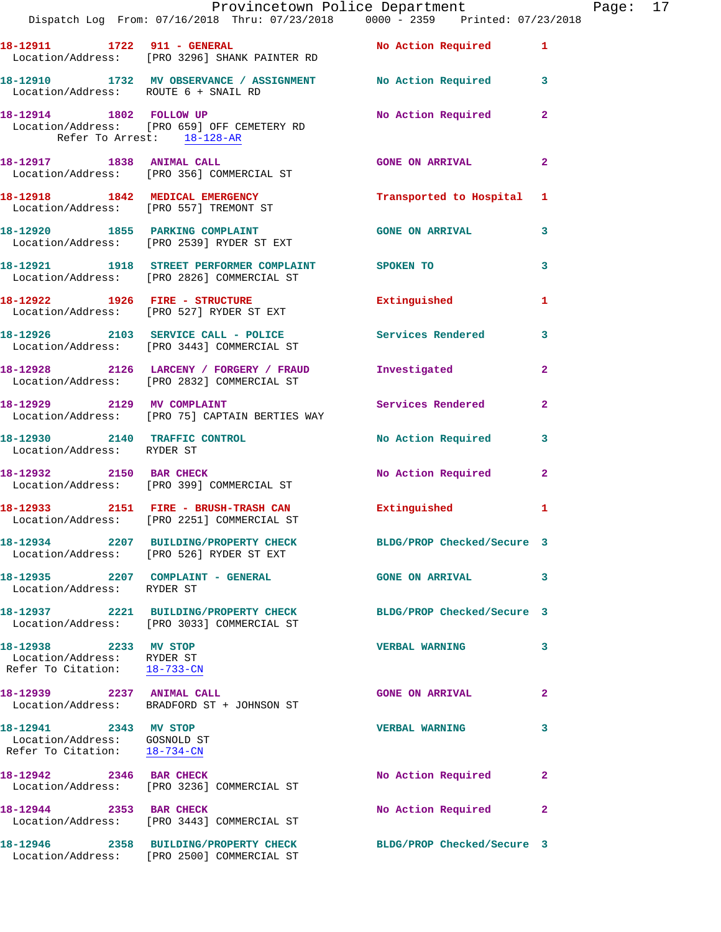|                                                                                       | Provincetown Police Department Fage: 17<br>Dispatch Log From: 07/16/2018 Thru: 07/23/2018 0000 - 2359 Printed: 07/23/2018 |                            |                |  |
|---------------------------------------------------------------------------------------|---------------------------------------------------------------------------------------------------------------------------|----------------------------|----------------|--|
|                                                                                       | 18-12911 1722 911 - GENERAL No Action Required 1<br>Location/Address: [PRO 3296] SHANK PAINTER RD                         |                            |                |  |
|                                                                                       | 18-12910 1732 MV OBSERVANCE / ASSIGNMENT No Action Required 3<br>Location/Address: ROUTE 6 + SNAIL RD                     |                            |                |  |
| Refer To Arrest: 18-128-AR                                                            | 18-12914 1802 FOLLOW UP<br>Location/Address: [PRO 659] OFF CEMETERY RD                                                    | No Action Required         | $\mathbf{2}$   |  |
|                                                                                       | 18-12917 1838 ANIMAL CALL CONS ON ARRIVAL<br>Location/Address: [PRO 356] COMMERCIAL ST                                    |                            | $\overline{2}$ |  |
|                                                                                       | 18-12918 1842 MEDICAL EMERGENCY<br>Location/Address: [PRO 557] TREMONT ST                                                 | Transported to Hospital 1  |                |  |
|                                                                                       | 18-12920 1855 PARKING COMPLAINT<br>Location/Address: [PRO 2539] RYDER ST EXT                                              | <b>GONE ON ARRIVAL</b>     | 3              |  |
|                                                                                       | 18-12921 1918 STREET PERFORMER COMPLAINT SPOKEN TO<br>Location/Address: [PRO 2826] COMMERCIAL ST                          |                            | 3              |  |
|                                                                                       | 18-12922 1926 FIRE - STRUCTURE<br>Location/Address: [PRO 527] RYDER ST EXT                                                | Extinguished               | 1              |  |
|                                                                                       | 18-12926 2103 SERVICE CALL - POLICE Services Rendered 3<br>Location/Address: [PRO 3443] COMMERCIAL ST                     |                            |                |  |
|                                                                                       | 18-12928 2126 LARCENY / FORGERY / FRAUD Investigated<br>Location/Address: [PRO 2832] COMMERCIAL ST                        |                            | $\overline{2}$ |  |
| 18-12929 2129 MV COMPLAINT                                                            | Location/Address: [PRO 75] CAPTAIN BERTIES WAY                                                                            | Services Rendered          | $\mathbf{2}$   |  |
| Location/Address: RYDER ST                                                            | 18-12930 2140 TRAFFIC CONTROL No Action Required 3                                                                        |                            |                |  |
|                                                                                       | 18-12932 2150 BAR CHECK<br>Location/Address: [PRO 399] COMMERCIAL ST                                                      | No Action Required         | $\mathbf{2}$   |  |
|                                                                                       | 18-12933 2151 FIRE - BRUSH-TRASH CAN Extinguished<br>Location/Address: [PRO 2251] COMMERCIAL ST                           |                            | 1              |  |
|                                                                                       | 18-12934 2207 BUILDING/PROPERTY CHECK BLDG/PROP Checked/Secure 3<br>Location/Address: [PRO 526] RYDER ST EXT              |                            |                |  |
| Location/Address: RYDER ST                                                            | 18-12935 2207 COMPLAINT - GENERAL                                                                                         | <b>GONE ON ARRIVAL</b>     | 3              |  |
|                                                                                       | 18-12937 2221 BUILDING/PROPERTY CHECK BLDG/PROP Checked/Secure 3<br>Location/Address: [PRO 3033] COMMERCIAL ST            |                            |                |  |
| 18-12938 2233 MV STOP<br>Location/Address: RYDER ST<br>Refer To Citation: 18-733-CN   |                                                                                                                           | <b>VERBAL WARNING</b>      | 3              |  |
| 18-12939 2237 ANIMAL CALL                                                             | Location/Address: BRADFORD ST + JOHNSON ST                                                                                | <b>GONE ON ARRIVAL</b>     | 2              |  |
| 18-12941 2343 MV STOP<br>Location/Address: GOSNOLD ST<br>Refer To Citation: 18-734-CN |                                                                                                                           | <b>VERBAL WARNING</b>      | 3              |  |
|                                                                                       | 18-12942 2346 BAR CHECK<br>Location/Address: [PRO 3236] COMMERCIAL ST                                                     | No Action Required         | 2              |  |
| 18-12944 2353 BAR CHECK                                                               | Location/Address: [PRO 3443] COMMERCIAL ST                                                                                | No Action Required         | $\overline{2}$ |  |
|                                                                                       | 18-12946 2358 BUILDING/PROPERTY CHECK<br>Location/Address: [PRO 2500] COMMERCIAL ST                                       | BLDG/PROP Checked/Secure 3 |                |  |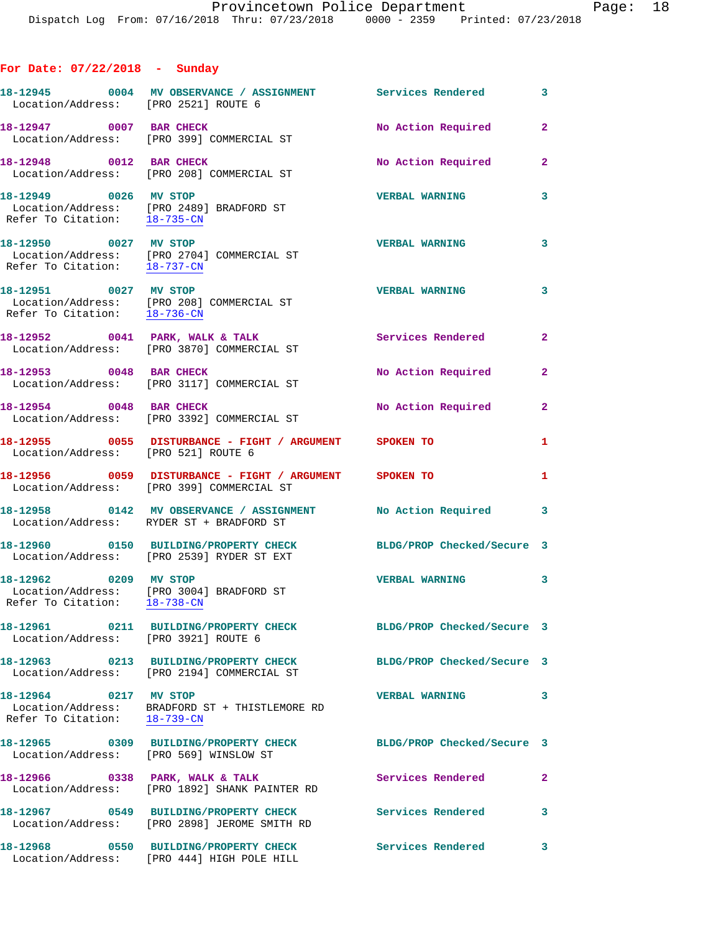## **For Date: 07/22/2018 - Sunday**

| Location/Address: [PRO 2521] ROUTE 6                  | 18-12945 0004 MV OBSERVANCE / ASSIGNMENT Services Rendered                                                                                           |                            | $\overline{\mathbf{3}}$ |
|-------------------------------------------------------|------------------------------------------------------------------------------------------------------------------------------------------------------|----------------------------|-------------------------|
|                                                       | 18-12947 0007 BAR CHECK<br>Location/Address: [PRO 399] COMMERCIAL ST                                                                                 | No Action Required         | $\mathbf{2}$            |
| 18-12948 0012 BAR CHECK                               | Location/Address: [PRO 208] COMMERCIAL ST                                                                                                            | No Action Required 2       |                         |
| 18-12949 0026 MV STOP<br>Refer To Citation: 18-735-CN | Location/Address: [PRO 2489] BRADFORD ST                                                                                                             | <b>VERBAL WARNING</b>      | 3                       |
|                                                       | 18-12950 0027 MV STOP<br>Location/Address: [PRO 2704] COMMERCIAL ST<br>Refer To Citation: $\frac{18-737-\text{CN}}{1-\frac{32}{\sqrt{3}}-\text{CN}}$ | <b>VERBAL WARNING</b>      | $\overline{\mathbf{3}}$ |
| 18-12951 0027 MV STOP                                 | Location/Address: [PRO 208] COMMERCIAL ST<br>Refer To Citation: 18-736-CN                                                                            | <b>VERBAL WARNING</b>      | $\overline{\mathbf{3}}$ |
|                                                       | 18-12952 0041 PARK, WALK & TALK<br>Location/Address: [PRO 3870] COMMERCIAL ST                                                                        | Services Rendered          | $\overline{2}$          |
| 18-12953 0048 BAR CHECK                               | Location/Address: [PRO 3117] COMMERCIAL ST                                                                                                           | No Action Required         | $\mathbf{2}$            |
| 18-12954 0048 BAR CHECK                               | Location/Address: [PRO 3392] COMMERCIAL ST                                                                                                           | No Action Required         | $\mathbf{2}$            |
| Location/Address: [PRO 521] ROUTE 6                   | 18-12955 0055 DISTURBANCE - FIGHT / ARGUMENT SPOKEN TO                                                                                               |                            | $\mathbf{1}$            |
|                                                       | 18-12956 0059 DISTURBANCE - FIGHT / ARGUMENT SPOKEN TO<br>Location/Address: [PRO 399] COMMERCIAL ST                                                  |                            | $\mathbf{1}$            |
|                                                       | 18-12958 0142 MV OBSERVANCE / ASSIGNMENT No Action Required<br>Location/Address: RYDER ST + BRADFORD ST                                              |                            | 3                       |
|                                                       | 18-12960 0150 BUILDING/PROPERTY CHECK BLDG/PROP Checked/Secure 3<br>Location/Address: [PRO 2539] RYDER ST EXT                                        |                            |                         |
| 18-12962 0209 MV STOP                                 | Location/Address: [PRO 3004] BRADFORD ST<br>Refer To Citation: $\frac{18-738-CN}{\ }$                                                                | <b>VERBAL WARNING</b>      | 3                       |
| Location/Address: [PRO 3921] ROUTE 6                  |                                                                                                                                                      | BLDG/PROP Checked/Secure 3 |                         |
|                                                       | 18-12963 0213 BUILDING/PROPERTY CHECK<br>Location/Address: [PRO 2194] COMMERCIAL ST                                                                  | BLDG/PROP Checked/Secure 3 |                         |
| 18-12964 0217 MV STOP<br>Refer To Citation: 18-739-CN | Location/Address: BRADFORD ST + THISTLEMORE RD                                                                                                       | <b>VERBAL WARNING</b>      | 3                       |
| Location/Address: [PRO 569] WINSLOW ST                | 18-12965 0309 BUILDING/PROPERTY CHECK                                                                                                                | BLDG/PROP Checked/Secure 3 |                         |
| 18-12966 0338 PARK, WALK & TALK                       | Location/Address: [PRO 1892] SHANK PAINTER RD                                                                                                        | Services Rendered          | $\mathbf{2}$            |
|                                                       | 18-12967 0549 BUILDING/PROPERTY CHECK<br>Location/Address: [PRO 2898] JEROME SMITH RD                                                                | <b>Services Rendered</b>   | 3                       |
|                                                       | 18-12968 0550 BUILDING/PROPERTY CHECK<br>Location/Address: [PRO 444] HIGH POLE HILL                                                                  | <b>Services Rendered</b>   | 3                       |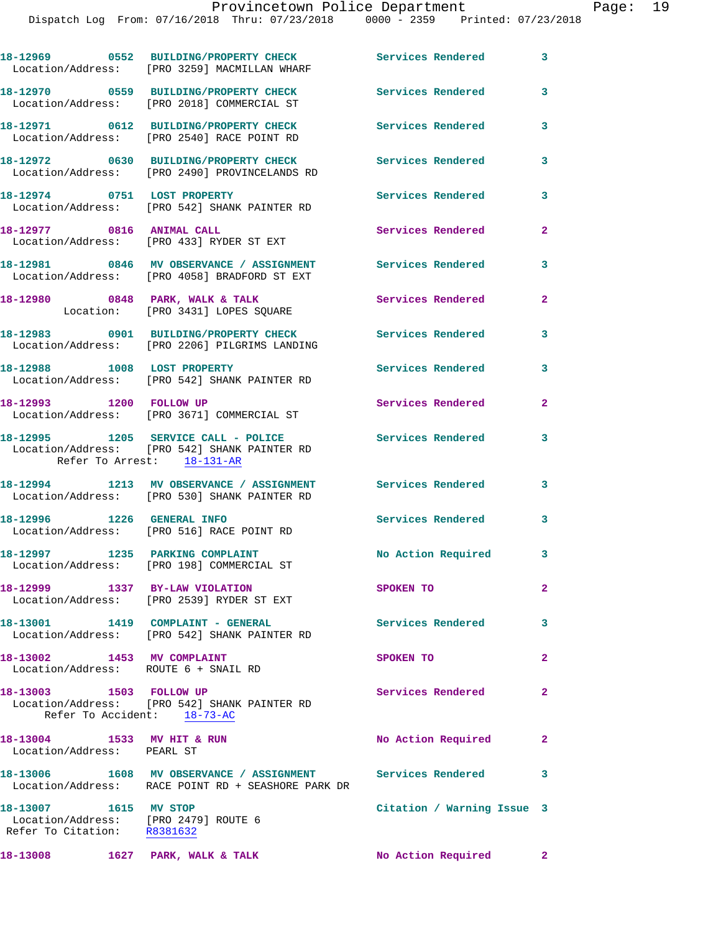|                                                                                              | 18-12969 0552 BUILDING/PROPERTY CHECK<br>Location/Address: [PRO 3259] MACMILLAN WHARF                             | Services Rendered 3        |                |
|----------------------------------------------------------------------------------------------|-------------------------------------------------------------------------------------------------------------------|----------------------------|----------------|
|                                                                                              | 18-12970 0559 BUILDING/PROPERTY CHECK<br>Location/Address: [PRO 2018] COMMERCIAL ST                               | <b>Services Rendered</b>   | 3              |
|                                                                                              | 18-12971 0612 BUILDING/PROPERTY CHECK<br>Location/Address: [PRO 2540] RACE POINT RD                               | Services Rendered          | 3              |
|                                                                                              | 18-12972 0630 BUILDING/PROPERTY CHECK<br>Location/Address: [PRO 2490] PROVINCELANDS RD                            | <b>Services Rendered</b>   | 3              |
| 18-12974 0751 LOST PROPERTY                                                                  | Location/Address: [PRO 542] SHANK PAINTER RD                                                                      | <b>Services Rendered</b>   | 3              |
| 18-12977 0816 ANIMAL CALL                                                                    | Location/Address: [PRO 433] RYDER ST EXT                                                                          | Services Rendered          | $\mathbf{2}$   |
|                                                                                              | 18-12981 0846 MV OBSERVANCE / ASSIGNMENT Services Rendered<br>Location/Address: [PRO 4058] BRADFORD ST EXT        |                            | 3              |
|                                                                                              | 18-12980 0848 PARK, WALK & TALK<br>Location: [PRO 3431] LOPES SQUARE                                              | Services Rendered          | $\mathbf{2}$   |
|                                                                                              | 18-12983 0901 BUILDING/PROPERTY CHECK<br>Location/Address: [PRO 2206] PILGRIMS LANDING                            | <b>Services Rendered</b>   | 3              |
|                                                                                              | 18-12988 1008 LOST PROPERTY<br>Location/Address: [PRO 542] SHANK PAINTER RD                                       | <b>Services Rendered</b>   | 3              |
| 18-12993 1200 FOLLOW UP                                                                      | Location/Address: [PRO 3671] COMMERCIAL ST                                                                        | <b>Services Rendered</b>   | $\overline{2}$ |
|                                                                                              | 18-12995 1205 SERVICE CALL - POLICE<br>Location/Address: [PRO 542] SHANK PAINTER RD<br>Refer To Arrest: 18-131-AR | <b>Services Rendered</b>   | 3              |
|                                                                                              | 18-12994 1213 MV OBSERVANCE / ASSIGNMENT<br>Location/Address: [PRO 530] SHANK PAINTER RD                          | Services Rendered          | 3              |
| 18-12996 1226 GENERAL INFO                                                                   | Location/Address: [PRO 516] RACE POINT RD                                                                         | Services Rendered          | 3              |
|                                                                                              | 18-12997 1235 PARKING COMPLAINT<br>Location/Address: [PRO 198] COMMERCIAL ST                                      | No Action Required 3       |                |
|                                                                                              | 18-12999 1337 BY-LAW VIOLATION<br>Location/Address: [PRO 2539] RYDER ST EXT                                       | SPOKEN TO                  | $\mathbf{2}$   |
|                                                                                              | 18-13001 1419 COMPLAINT - GENERAL<br>Location/Address: [PRO 542] SHANK PAINTER RD                                 | <b>Services Rendered</b>   | 3              |
| 18-13002 1453 MV COMPLAINT                                                                   | Location/Address: ROUTE 6 + SNAIL RD                                                                              | SPOKEN TO                  | $\overline{2}$ |
| 18-13003 1503 FOLLOW UP<br>Refer To Accident: 18-73-AC                                       | Location/Address: [PRO 542] SHANK PAINTER RD                                                                      | Services Rendered          | $\mathbf{2}$   |
| 18-13004 1533 MV HIT & RUN<br>Location/Address: PEARL ST                                     |                                                                                                                   | No Action Required         | $\mathbf{2}$   |
|                                                                                              | 18-13006 1608 MV OBSERVANCE / ASSIGNMENT Services Rendered<br>Location/Address: RACE POINT RD + SEASHORE PARK DR  |                            | 3              |
| 18-13007 1615 MV STOP<br>Location/Address: [PRO 2479] ROUTE 6<br>Refer To Citation: R8381632 |                                                                                                                   | Citation / Warning Issue 3 |                |
|                                                                                              |                                                                                                                   | No Action Required 2       |                |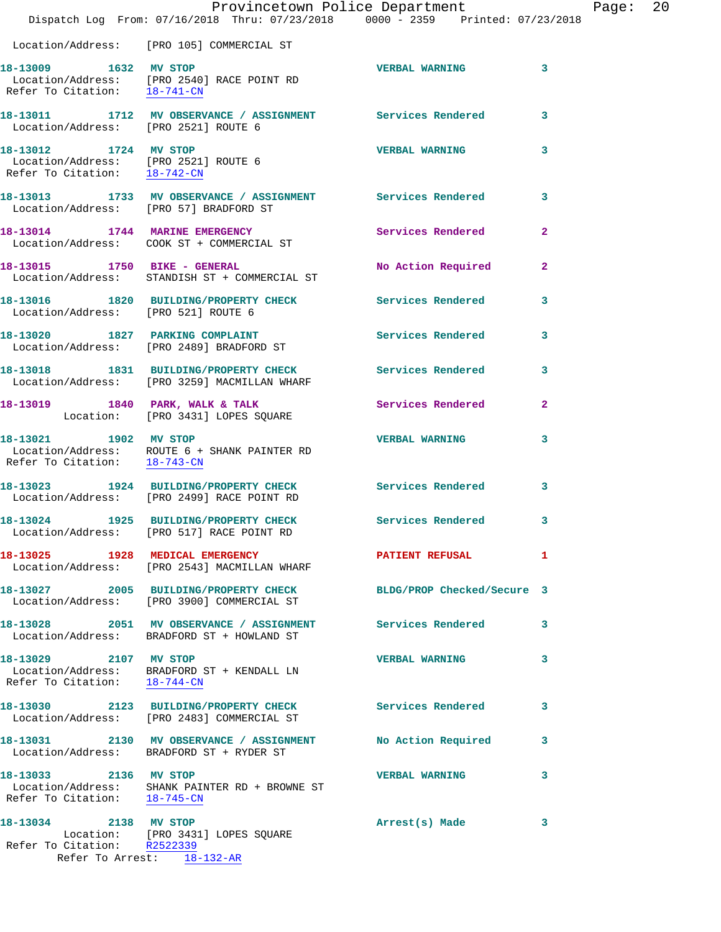|                                                       | Provincetown Police Department<br>Dispatch Log From: 07/16/2018 Thru: 07/23/2018 0000 - 2359 Printed: 07/23/2018 |                            |                |
|-------------------------------------------------------|------------------------------------------------------------------------------------------------------------------|----------------------------|----------------|
|                                                       | Location/Address: [PRO 105] COMMERCIAL ST                                                                        |                            |                |
| 18-13009 1632 MV STOP<br>Refer To Citation: 18-741-CN | Location/Address: [PRO 2540] RACE POINT RD                                                                       | <b>VERBAL WARNING</b>      | 3              |
| Location/Address: [PRO 2521] ROUTE 6                  | 18-13011 1712 MV OBSERVANCE / ASSIGNMENT Services Rendered                                                       |                            | 3              |
| 18-13012 1724 MV STOP                                 | Location/Address: [PRO 2521] ROUTE 6<br>Refer To Citation: 18-742-CN                                             | <b>VERBAL WARNING</b>      | 3              |
| Location/Address: [PRO 57] BRADFORD ST                | 18-13013 1733 MV OBSERVANCE / ASSIGNMENT Services Rendered                                                       |                            | 3              |
|                                                       | 18-13014 1744 MARINE EMERGENCY<br>Location/Address: COOK ST + COMMERCIAL ST                                      | Services Rendered          | $\mathbf{2}$   |
|                                                       | 18-13015 1750 BIKE - GENERAL<br>Location/Address: STANDISH ST + COMMERCIAL ST                                    | No Action Required         | $\overline{a}$ |
| Location/Address: [PRO 521] ROUTE 6                   | 18-13016 1820 BUILDING/PROPERTY CHECK                                                                            | <b>Services Rendered</b>   | 3              |
|                                                       | 18-13020 1827 PARKING COMPLAINT<br>Location/Address: [PRO 2489] BRADFORD ST                                      | Services Rendered          | 3              |
|                                                       | 18-13018 1831 BUILDING/PROPERTY CHECK<br>Location/Address: [PRO 3259] MACMILLAN WHARF                            | Services Rendered          | 3              |
|                                                       | 18-13019 1840 PARK, WALK & TALK<br>Location: [PRO 3431] LOPES SQUARE                                             | Services Rendered          | $\overline{2}$ |
| 18-13021 1902 MV STOP                                 | Location/Address: ROUTE 6 + SHANK PAINTER RD<br>Refer To Citation: 18-743-CN                                     | <b>VERBAL WARNING</b>      | 3              |
| 18-13023                                              | 1924 BUILDING/PROPERTY CHECK<br>Location/Address: [PRO 2499] RACE POINT RD                                       | Services Rendered          | 3              |
| 18-13024                                              | 1925 BUILDING/PROPERTY CHECK<br>Location/Address: [PRO 517] RACE POINT RD                                        | <b>Services Rendered</b>   | 3              |
|                                                       | 18-13025 1928 MEDICAL EMERGENCY<br>Location/Address: [PRO 2543] MACMILLAN WHARF                                  | <b>PATIENT REFUSAL</b>     | 1              |
|                                                       | 18-13027 2005 BUILDING/PROPERTY CHECK<br>Location/Address: [PRO 3900] COMMERCIAL ST                              | BLDG/PROP Checked/Secure 3 |                |
|                                                       | 18-13028 2051 MV OBSERVANCE / ASSIGNMENT<br>Location/Address: BRADFORD ST + HOWLAND ST                           | <b>Services Rendered</b>   | 3              |
| 18-13029 2107 MV STOP<br>Refer To Citation: 18-744-CN | Location/Address: BRADFORD ST + KENDALL LN                                                                       | <b>VERBAL WARNING</b>      | 3              |
|                                                       | 18-13030 2123 BUILDING/PROPERTY CHECK<br>Location/Address: [PRO 2483] COMMERCIAL ST                              | Services Rendered          | 3              |
|                                                       | 18-13031 2130 MV OBSERVANCE / ASSIGNMENT<br>Location/Address: BRADFORD ST + RYDER ST                             | No Action Required         | 3              |
| 18-13033 2136 MV STOP<br>Refer To Citation: 18-745-CN | Location/Address: SHANK PAINTER RD + BROWNE ST                                                                   | <b>VERBAL WARNING</b>      | 3              |
| 18-13034<br>Refer To Citation: R2522339               | 2138 MV STOP<br>Location: [PRO 3431] LOPES SQUARE                                                                | Arrest(s) Made             | 3              |

Refer To Arrest: 18-132-AR

Page: 20